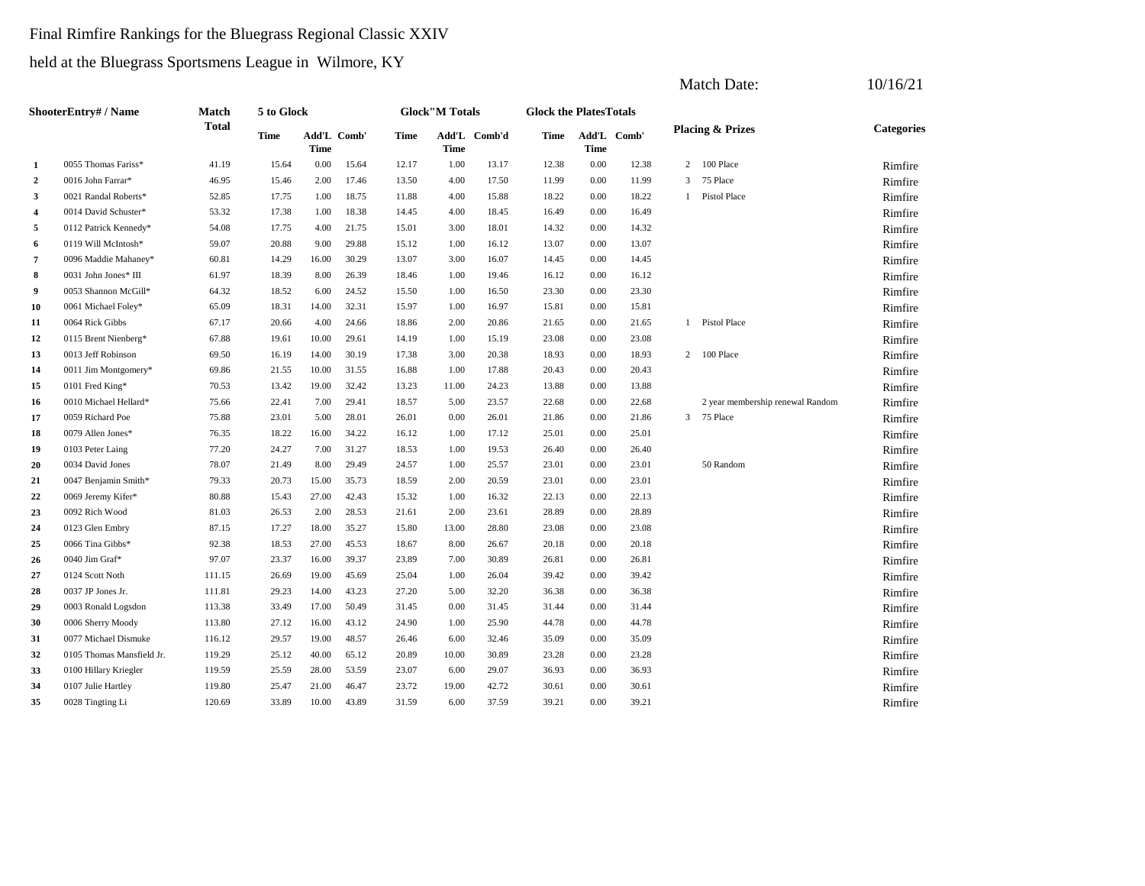#### Final Rimfire Rankings for the Bluegrass Regional Classic XXIV

held at the Bluegrass Sportsmens League in Wilmore, KY

|                         |                           |              |             |             |             |             |                       |              |                               |      |             |              | <b>Match Date:</b>               | 10/16/21          |
|-------------------------|---------------------------|--------------|-------------|-------------|-------------|-------------|-----------------------|--------------|-------------------------------|------|-------------|--------------|----------------------------------|-------------------|
|                         | <b>ShooterEntry#/Name</b> | Match        | 5 to Glock  |             |             |             | <b>Glock"M Totals</b> |              | <b>Glock the PlatesTotals</b> |      |             |              |                                  |                   |
|                         |                           | <b>Total</b> | <b>Time</b> | <b>Time</b> | Add'L Comb' | <b>Time</b> | <b>Time</b>           | Add'L Comb'd | Time                          | Time | Add'L Comb' |              | <b>Placing &amp; Prizes</b>      | <b>Categories</b> |
| $\mathbf{1}$            | 0055 Thomas Fariss*       | 41.19        | 15.64       | 0.00        | 15.64       | 12.17       | 1.00                  | 13.17        | 12.38                         | 0.00 | 12.38       | 2            | 100 Place                        | Rimfire           |
| $\mathbf{2}$            | 0016 John Farrar*         | 46.95        | 15.46       | 2.00        | 17.46       | 13.50       | 4.00                  | 17.50        | 11.99                         | 0.00 | 11.99       | 3            | 75 Place                         | Rimfire           |
| 3                       | 0021 Randal Roberts*      | 52.85        | 17.75       | 1.00        | 18.75       | 11.88       | 4.00                  | 15.88        | 18.22                         | 0.00 | 18.22       | $\mathbf{1}$ | Pistol Place                     | Rimfire           |
| $\overline{\mathbf{4}}$ | 0014 David Schuster*      | 53.32        | 17.38       | 1.00        | 18.38       | 14.45       | 4.00                  | 18.45        | 16.49                         | 0.00 | 16.49       |              |                                  | Rimfire           |
| 5                       | 0112 Patrick Kennedy*     | 54.08        | 17.75       | 4.00        | 21.75       | 15.01       | 3.00                  | 18.01        | 14.32                         | 0.00 | 14.32       |              |                                  | Rimfire           |
| 6                       | 0119 Will McIntosh*       | 59.07        | 20.88       | 9.00        | 29.88       | 15.12       | 1.00                  | 16.12        | 13.07                         | 0.00 | 13.07       |              |                                  | Rimfire           |
| $\overline{7}$          | 0096 Maddie Mahaney*      | 60.81        | 14.29       | 16.00       | 30.29       | 13.07       | 3.00                  | 16.07        | 14.45                         | 0.00 | 14.45       |              |                                  | Rimfire           |
| 8                       | 0031 John Jones* III      | 61.97        | 18.39       | 8.00        | 26.39       | 18.46       | 1.00                  | 19.46        | 16.12                         | 0.00 | 16.12       |              |                                  | Rimfire           |
| 9                       | 0053 Shannon McGill*      | 64.32        | 18.52       | 6.00        | 24.52       | 15.50       | 1.00                  | 16.50        | 23.30                         | 0.00 | 23.30       |              |                                  | Rimfire           |
| 10                      | 0061 Michael Foley*       | 65.09        | 18.31       | 14.00       | 32.31       | 15.97       | 1.00                  | 16.97        | 15.81                         | 0.00 | 15.81       |              |                                  | Rimfire           |
| 11                      | 0064 Rick Gibbs           | 67.17        | 20.66       | 4.00        | 24.66       | 18.86       | 2.00                  | 20.86        | 21.65                         | 0.00 | 21.65       |              | 1 Pistol Place                   | Rimfire           |
| 12                      | 0115 Brent Nienberg*      | 67.88        | 19.61       | 10.00       | 29.61       | 14.19       | 1.00                  | 15.19        | 23.08                         | 0.00 | 23.08       |              |                                  | Rimfire           |
| 13                      | 0013 Jeff Robinson        | 69.50        | 16.19       | 14.00       | 30.19       | 17.38       | 3.00                  | 20.38        | 18.93                         | 0.00 | 18.93       |              | 2 100 Place                      | Rimfire           |
| 14                      | 0011 Jim Montgomery*      | 69.86        | 21.55       | 10.00       | 31.55       | 16.88       | 1.00                  | 17.88        | 20.43                         | 0.00 | 20.43       |              |                                  | Rimfire           |
| 15                      | 0101 Fred King*           | 70.53        | 13.42       | 19.00       | 32.42       | 13.23       | 11.00                 | 24.23        | 13.88                         | 0.00 | 13.88       |              |                                  | Rimfire           |
| 16                      | 0010 Michael Hellard*     | 75.66        | 22.41       | 7.00        | 29.41       | 18.57       | 5.00                  | 23.57        | 22.68                         | 0.00 | 22.68       |              | 2 year membership renewal Random | Rimfire           |
| 17                      | 0059 Richard Poe          | 75.88        | 23.01       | 5.00        | 28.01       | 26.01       | 0.00                  | 26.01        | 21.86                         | 0.00 | 21.86       |              | 3 75 Place                       | Rimfire           |
| 18                      | 0079 Allen Jones*         | 76.35        | 18.22       | 16.00       | 34.22       | 16.12       | 1.00                  | 17.12        | 25.01                         | 0.00 | 25.01       |              |                                  | Rimfire           |
| 19                      | 0103 Peter Laing          | 77.20        | 24.27       | 7.00        | 31.27       | 18.53       | 1.00                  | 19.53        | 26.40                         | 0.00 | 26.40       |              |                                  | Rimfire           |
| 20                      | 0034 David Jones          | 78.07        | 21.49       | 8.00        | 29.49       | 24.57       | 1.00                  | 25.57        | 23.01                         | 0.00 | 23.01       |              | 50 Random                        | Rimfire           |
| 21                      | 0047 Benjamin Smith*      | 79.33        | 20.73       | 15.00       | 35.73       | 18.59       | 2.00                  | 20.59        | 23.01                         | 0.00 | 23.01       |              |                                  | Rimfire           |
| 22                      | 0069 Jeremy Kifer*        | 80.88        | 15.43       | 27.00       | 42.43       | 15.32       | 1.00                  | 16.32        | 22.13                         | 0.00 | 22.13       |              |                                  | Rimfire           |
| 23                      | 0092 Rich Wood            | 81.03        | 26.53       | 2.00        | 28.53       | 21.61       | 2.00                  | 23.61        | 28.89                         | 0.00 | 28.89       |              |                                  | Rimfire           |
| 24                      | 0123 Glen Embry           | 87.15        | 17.27       | 18.00       | 35.27       | 15.80       | 13.00                 | 28.80        | 23.08                         | 0.00 | 23.08       |              |                                  | Rimfire           |
| 25                      | 0066 Tina Gibbs*          | 92.38        | 18.53       | 27.00       | 45.53       | 18.67       | 8.00                  | 26.67        | 20.18                         | 0.00 | 20.18       |              |                                  | Rimfire           |
| 26                      | 0040 Jim Graf*            | 97.07        | 23.37       | 16.00       | 39.37       | 23.89       | 7.00                  | 30.89        | 26.81                         | 0.00 | 26.81       |              |                                  | Rimfire           |
| 27                      | 0124 Scott Noth           | 111.15       | 26.69       | 19.00       | 45.69       | 25.04       | 1.00                  | 26.04        | 39.42                         | 0.00 | 39.42       |              |                                  | Rimfire           |
| 28                      | 0037 JP Jones Jr.         | 111.81       | 29.23       | 14.00       | 43.23       | 27.20       | 5.00                  | 32.20        | 36.38                         | 0.00 | 36.38       |              |                                  | Rimfire           |
| 29                      | 0003 Ronald Logsdon       | 113.38       | 33.49       | 17.00       | 50.49       | 31.45       | 0.00                  | 31.45        | 31.44                         | 0.00 | 31.44       |              |                                  | Rimfire           |
| 30                      | 0006 Sherry Moody         | 113.80       | 27.12       | 16.00       | 43.12       | 24.90       | 1.00                  | 25.90        | 44.78                         | 0.00 | 44.78       |              |                                  | Rimfire           |
| 31                      | 0077 Michael Dismuke      | 116.12       | 29.57       | 19.00       | 48.57       | 26.46       | 6.00                  | 32.46        | 35.09                         | 0.00 | 35.09       |              |                                  | Rimfire           |
| 32                      | 0105 Thomas Mansfield Jr. | 119.29       | 25.12       | 40.00       | 65.12       | 20.89       | 10.00                 | 30.89        | 23.28                         | 0.00 | 23.28       |              |                                  | Rimfire           |
| 33                      | 0100 Hillary Kriegler     | 119.59       | 25.59       | 28.00       | 53.59       | 23.07       | 6.00                  | 29.07        | 36.93                         | 0.00 | 36.93       |              |                                  | Rimfire           |
| 34                      | 0107 Julie Hartley        | 119.80       | 25.47       | 21.00       | 46.47       | 23.72       | 19.00                 | 42.72        | 30.61                         | 0.00 | 30.61       |              |                                  | Rimfire           |
| 35                      | 0028 Tingting Li          | 120.69       | 33.89       | 10.00       | 43.89       | 31.59       | 6.00                  | 37.59        | 39.21                         | 0.00 | 39.21       |              |                                  | Rimfire           |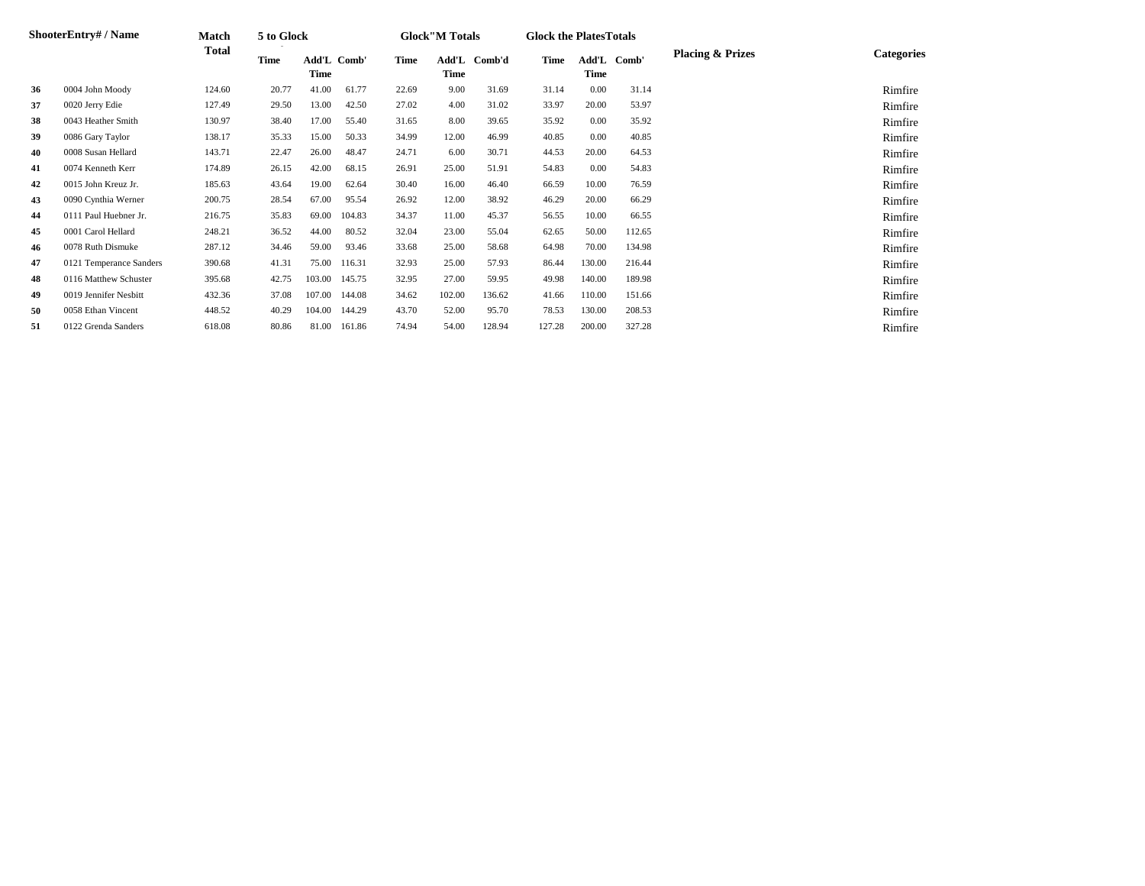|    | <b>ShooterEntry#/Name</b> | Match        | 5 to Glock  |                     |        |       | <b>Glock</b> "M Totals |        | <b>Glock the Plates Totals</b> |               |        |                             |                   |
|----|---------------------------|--------------|-------------|---------------------|--------|-------|------------------------|--------|--------------------------------|---------------|--------|-----------------------------|-------------------|
|    |                           | <b>Total</b> | <b>Time</b> | Add'L Comb'<br>Time |        | Time  | Add'L<br>Time          | Comb'd | Time                           | Add'L<br>Time | Comb'  | <b>Placing &amp; Prizes</b> | <b>Categories</b> |
| 36 | 0004 John Moody           | 124.60       | 20.77       | 41.00               | 61.77  | 22.69 | 9.00                   | 31.69  | 31.14                          | 0.00          | 31.14  |                             | Rimfire           |
| 37 | 0020 Jerry Edie           | 127.49       | 29.50       | 13.00               | 42.50  | 27.02 | 4.00                   | 31.02  | 33.97                          | 20.00         | 53.97  |                             | Rimfire           |
| 38 | 0043 Heather Smith        | 130.97       | 38.40       | 17.00               | 55.40  | 31.65 | 8.00                   | 39.65  | 35.92                          | 0.00          | 35.92  |                             | Rimfire           |
| 39 | 0086 Gary Taylor          | 138.17       | 35.33       | 15.00               | 50.33  | 34.99 | 12.00                  | 46.99  | 40.85                          | 0.00          | 40.85  |                             | Rimfire           |
| 40 | 0008 Susan Hellard        | 143.71       | 22.47       | 26.00               | 48.47  | 24.71 | 6.00                   | 30.71  | 44.53                          | 20.00         | 64.53  |                             | Rimfire           |
| 41 | 0074 Kenneth Kerr         | 174.89       | 26.15       | 42.00               | 68.15  | 26.91 | 25.00                  | 51.91  | 54.83                          | 0.00          | 54.83  |                             | Rimfire           |
| 42 | 0015 John Kreuz Jr.       | 185.63       | 43.64       | 19.00               | 62.64  | 30.40 | 16.00                  | 46.40  | 66.59                          | 10.00         | 76.59  |                             | Rimfire           |
| 43 | 0090 Cynthia Werner       | 200.75       | 28.54       | 67.00               | 95.54  | 26.92 | 12.00                  | 38.92  | 46.29                          | 20.00         | 66.29  |                             | Rimfire           |
| 44 | 0111 Paul Huebner Jr.     | 216.75       | 35.83       | 69.00               | 104.83 | 34.37 | 11.00                  | 45.37  | 56.55                          | 10.00         | 66.55  |                             | Rimfire           |
| 45 | 0001 Carol Hellard        | 248.21       | 36.52       | 44.00               | 80.52  | 32.04 | 23.00                  | 55.04  | 62.65                          | 50.00         | 112.65 |                             | Rimfire           |
| 46 | 0078 Ruth Dismuke         | 287.12       | 34.46       | 59.00               | 93.46  | 33.68 | 25.00                  | 58.68  | 64.98                          | 70.00         | 134.98 |                             | Rimfire           |
| 47 | 0121 Temperance Sanders   | 390.68       | 41.31       | 75.00               | 116.31 | 32.93 | 25.00                  | 57.93  | 86.44                          | 130.00        | 216.44 |                             | Rimfire           |
| 48 | 0116 Matthew Schuster     | 395.68       | 42.75       | 103.00              | 145.75 | 32.95 | 27.00                  | 59.95  | 49.98                          | 140.00        | 189.98 |                             | Rimfire           |
| 49 | 0019 Jennifer Nesbitt     | 432.36       | 37.08       | 107.00              | 144.08 | 34.62 | 102.00                 | 136.62 | 41.66                          | 110.00        | 151.66 |                             | Rimfire           |
| 50 | 0058 Ethan Vincent        | 448.52       | 40.29       | 104.00              | 144.29 | 43.70 | 52.00                  | 95.70  | 78.53                          | 130.00        | 208.53 |                             | Rimfire           |
| 51 | 0122 Grenda Sanders       | 618.08       | 80.86       | 81.00               | 161.86 | 74.94 | 54.00                  | 128.94 | 127.28                         | 200.00        | 327.28 |                             | Rimfire           |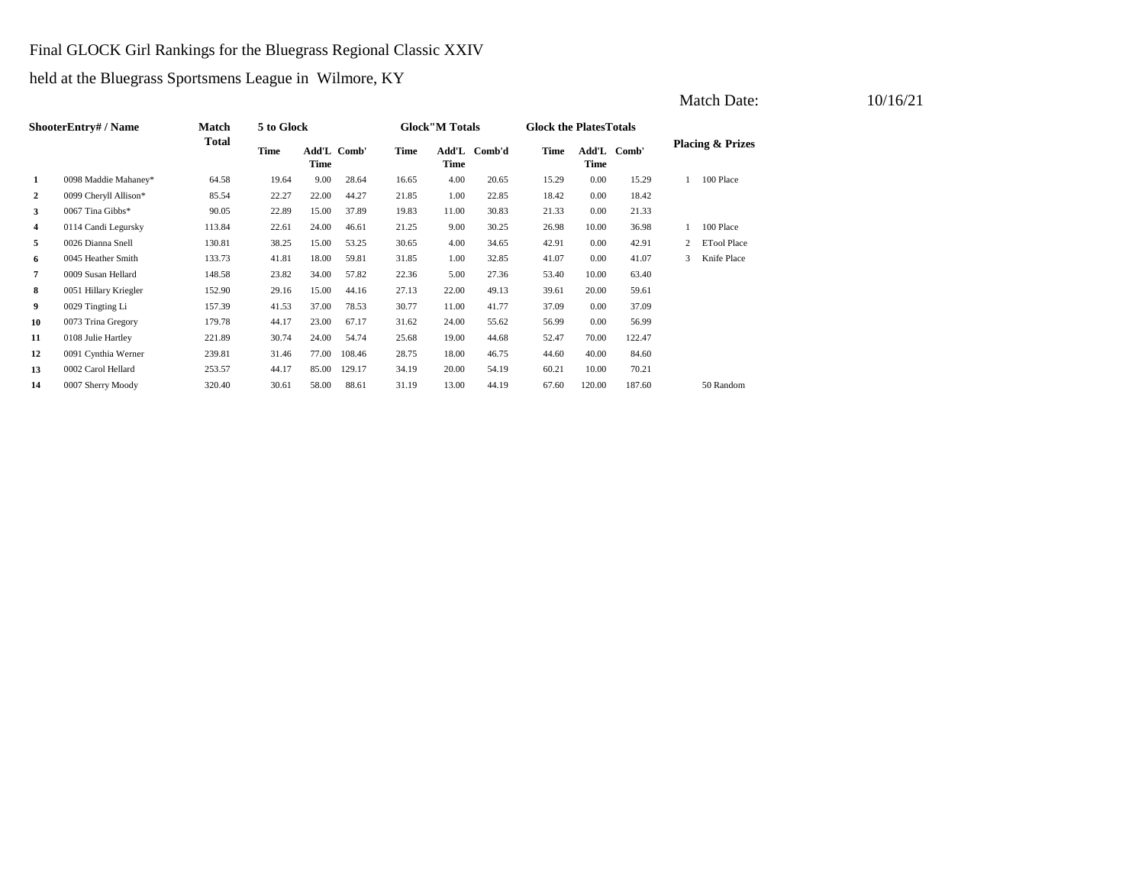#### Final GLOCK Girl Rankings for the Bluegrass Regional Classic XXIV

held at the Bluegrass Sportsmens League in Wilmore, KY

|                | ShooterEntry# / Name  | Match  | 5 to Glock |       |             |       | <b>Glock</b> "M Totals |        | <b>Glock the PlatesTotals</b> |        |             |   |                             |
|----------------|-----------------------|--------|------------|-------|-------------|-------|------------------------|--------|-------------------------------|--------|-------------|---|-----------------------------|
|                |                       | Total  | Time       | Time  | Add'L Comb' | Time  | Add'L<br>Time          | Comb'd | Time                          | Time   | Add'L Comb' |   | <b>Placing &amp; Prizes</b> |
| 1              | 0098 Maddie Mahaney*  | 64.58  | 19.64      | 9.00  | 28.64       | 16.65 | 4.00                   | 20.65  | 15.29                         | 0.00   | 15.29       |   | 100 Place                   |
| $\overline{a}$ | 0099 Cheryll Allison* | 85.54  | 22.27      | 22.00 | 44.27       | 21.85 | 1.00                   | 22.85  | 18.42                         | 0.00   | 18.42       |   |                             |
| 3              | 0067 Tina Gibbs*      | 90.05  | 22.89      | 15.00 | 37.89       | 19.83 | 11.00                  | 30.83  | 21.33                         | 0.00   | 21.33       |   |                             |
| 4              | 0114 Candi Legursky   | 113.84 | 22.61      | 24.00 | 46.61       | 21.25 | 9.00                   | 30.25  | 26.98                         | 10.00  | 36.98       |   | 100 Place                   |
| 5              | 0026 Dianna Snell     | 130.81 | 38.25      | 15.00 | 53.25       | 30.65 | 4.00                   | 34.65  | 42.91                         | 0.00   | 42.91       |   | <b>ETool Place</b>          |
| 6              | 0045 Heather Smith    | 133.73 | 41.81      | 18.00 | 59.81       | 31.85 | 1.00                   | 32.85  | 41.07                         | 0.00   | 41.07       | 3 | Knife Place                 |
| 7              | 0009 Susan Hellard    | 148.58 | 23.82      | 34.00 | 57.82       | 22.36 | 5.00                   | 27.36  | 53.40                         | 10.00  | 63.40       |   |                             |
| 8              | 0051 Hillary Kriegler | 152.90 | 29.16      | 15.00 | 44.16       | 27.13 | 22.00                  | 49.13  | 39.61                         | 20.00  | 59.61       |   |                             |
| 9              | 0029 Tingting Li      | 157.39 | 41.53      | 37.00 | 78.53       | 30.77 | 11.00                  | 41.77  | 37.09                         | 0.00   | 37.09       |   |                             |
| 10             | 0073 Trina Gregory    | 179.78 | 44.17      | 23.00 | 67.17       | 31.62 | 24.00                  | 55.62  | 56.99                         | 0.00   | 56.99       |   |                             |
| 11             | 0108 Julie Hartley    | 221.89 | 30.74      | 24.00 | 54.74       | 25.68 | 19.00                  | 44.68  | 52.47                         | 70.00  | 122.47      |   |                             |
| 12             | 0091 Cynthia Werner   | 239.81 | 31.46      | 77.00 | 108.46      | 28.75 | 18.00                  | 46.75  | 44.60                         | 40.00  | 84.60       |   |                             |
| 13             | 0002 Carol Hellard    | 253.57 | 44.17      | 85.00 | 129.17      | 34.19 | 20.00                  | 54.19  | 60.21                         | 10.00  | 70.21       |   |                             |
| 14             | 0007 Sherry Moody     | 320.40 | 30.61      | 58.00 | 88.61       | 31.19 | 13.00                  | 44.19  | 67.60                         | 120.00 | 187.60      |   | 50 Random                   |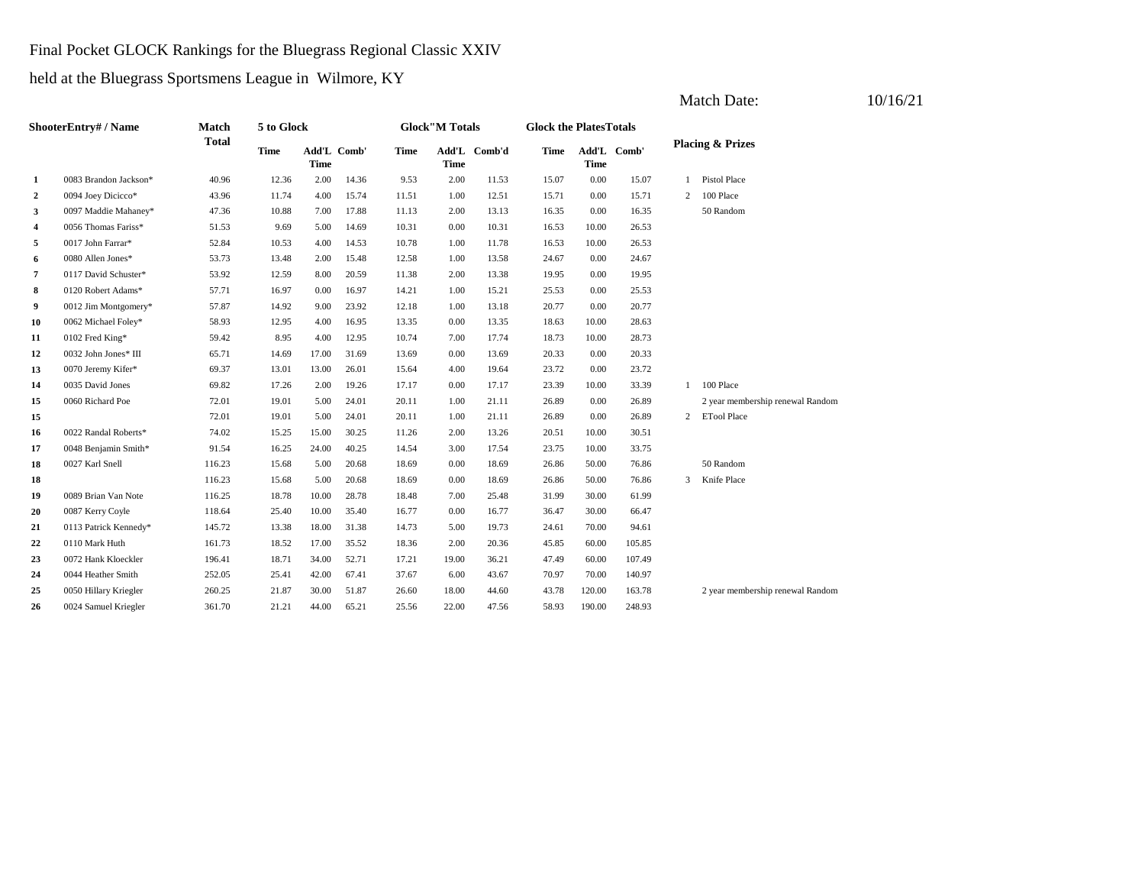#### Final Pocket GLOCK Rankings for the Bluegrass Regional Classic XXIV

held at the Bluegrass Sportsmens League in Wilmore, KY

|                | ShooterEntry# / Name  | Match        | 5 to Glock  |             |             |             | <b>Glock</b> "M Totals |              | <b>Glock the PlatesTotals</b> |             |             |                |                                  |
|----------------|-----------------------|--------------|-------------|-------------|-------------|-------------|------------------------|--------------|-------------------------------|-------------|-------------|----------------|----------------------------------|
|                |                       | <b>Total</b> | <b>Time</b> | <b>Time</b> | Add'L Comb' | <b>Time</b> | <b>Time</b>            | Add'L Comb'd | <b>Time</b>                   | <b>Time</b> | Add'L Comb' |                | <b>Placing &amp; Prizes</b>      |
| 1              | 0083 Brandon Jackson* | 40.96        | 12.36       | 2.00        | 14.36       | 9.53        | 2.00                   | 11.53        | 15.07                         | 0.00        | 15.07       |                | Pistol Place                     |
| $\overline{a}$ | 0094 Joey Dicicco*    | 43.96        | 11.74       | 4.00        | 15.74       | 11.51       | 1.00                   | 12.51        | 15.71                         | 0.00        | 15.71       | 2              | 100 Place                        |
| 3              | 0097 Maddie Mahaney*  | 47.36        | 10.88       | 7.00        | 17.88       | 11.13       | 2.00                   | 13.13        | 16.35                         | 0.00        | 16.35       |                | 50 Random                        |
| 4              | 0056 Thomas Fariss*   | 51.53        | 9.69        | 5.00        | 14.69       | 10.31       | 0.00                   | 10.31        | 16.53                         | 10.00       | 26.53       |                |                                  |
| 5              | 0017 John Farrar*     | 52.84        | 10.53       | 4.00        | 14.53       | 10.78       | 1.00                   | 11.78        | 16.53                         | 10.00       | 26.53       |                |                                  |
| 6              | 0080 Allen Jones*     | 53.73        | 13.48       | 2.00        | 15.48       | 12.58       | 1.00                   | 13.58        | 24.67                         | 0.00        | 24.67       |                |                                  |
| 7              | 0117 David Schuster*  | 53.92        | 12.59       | 8.00        | 20.59       | 11.38       | 2.00                   | 13.38        | 19.95                         | 0.00        | 19.95       |                |                                  |
| 8              | 0120 Robert Adams*    | 57.71        | 16.97       | 0.00        | 16.97       | 14.21       | 1.00                   | 15.21        | 25.53                         | 0.00        | 25.53       |                |                                  |
| 9              | 0012 Jim Montgomery*  | 57.87        | 14.92       | 9.00        | 23.92       | 12.18       | 1.00                   | 13.18        | 20.77                         | 0.00        | 20.77       |                |                                  |
| 10             | 0062 Michael Foley*   | 58.93        | 12.95       | 4.00        | 16.95       | 13.35       | 0.00                   | 13.35        | 18.63                         | 10.00       | 28.63       |                |                                  |
| 11             | 0102 Fred King*       | 59.42        | 8.95        | 4.00        | 12.95       | 10.74       | 7.00                   | 17.74        | 18.73                         | 10.00       | 28.73       |                |                                  |
| 12             | 0032 John Jones* III  | 65.71        | 14.69       | 17.00       | 31.69       | 13.69       | 0.00                   | 13.69        | 20.33                         | 0.00        | 20.33       |                |                                  |
| 13             | 0070 Jeremy Kifer*    | 69.37        | 13.01       | 13.00       | 26.01       | 15.64       | 4.00                   | 19.64        | 23.72                         | 0.00        | 23.72       |                |                                  |
| 14             | 0035 David Jones      | 69.82        | 17.26       | 2.00        | 19.26       | 17.17       | 0.00                   | 17.17        | 23.39                         | 10.00       | 33.39       | 1              | 100 Place                        |
| 15             | 0060 Richard Poe      | 72.01        | 19.01       | 5.00        | 24.01       | 20.11       | 1.00                   | 21.11        | 26.89                         | 0.00        | 26.89       |                | 2 year membership renewal Random |
| 15             |                       | 72.01        | 19.01       | 5.00        | 24.01       | 20.11       | 1.00                   | 21.11        | 26.89                         | 0.00        | 26.89       | $\overline{2}$ | <b>ETool Place</b>               |
| 16             | 0022 Randal Roberts*  | 74.02        | 15.25       | 15.00       | 30.25       | 11.26       | 2.00                   | 13.26        | 20.51                         | 10.00       | 30.51       |                |                                  |
| 17             | 0048 Benjamin Smith*  | 91.54        | 16.25       | 24.00       | 40.25       | 14.54       | 3.00                   | 17.54        | 23.75                         | 10.00       | 33.75       |                |                                  |
| 18             | 0027 Karl Snell       | 116.23       | 15.68       | 5.00        | 20.68       | 18.69       | 0.00                   | 18.69        | 26.86                         | 50.00       | 76.86       |                | 50 Random                        |
| 18             |                       | 116.23       | 15.68       | 5.00        | 20.68       | 18.69       | 0.00                   | 18.69        | 26.86                         | 50.00       | 76.86       | 3              | Knife Place                      |
| 19             | 0089 Brian Van Note   | 116.25       | 18.78       | 10.00       | 28.78       | 18.48       | 7.00                   | 25.48        | 31.99                         | 30.00       | 61.99       |                |                                  |
| 20             | 0087 Kerry Coyle      | 118.64       | 25.40       | 10.00       | 35.40       | 16.77       | 0.00                   | 16.77        | 36.47                         | 30.00       | 66.47       |                |                                  |
| 21             | 0113 Patrick Kennedy* | 145.72       | 13.38       | 18.00       | 31.38       | 14.73       | 5.00                   | 19.73        | 24.61                         | 70.00       | 94.61       |                |                                  |
| 22             | 0110 Mark Huth        | 161.73       | 18.52       | 17.00       | 35.52       | 18.36       | 2.00                   | 20.36        | 45.85                         | 60.00       | 105.85      |                |                                  |
| 23             | 0072 Hank Kloeckler   | 196.41       | 18.71       | 34.00       | 52.71       | 17.21       | 19.00                  | 36.21        | 47.49                         | 60.00       | 107.49      |                |                                  |
| 24             | 0044 Heather Smith    | 252.05       | 25.41       | 42.00       | 67.41       | 37.67       | 6.00                   | 43.67        | 70.97                         | 70.00       | 140.97      |                |                                  |
| 25             | 0050 Hillary Kriegler | 260.25       | 21.87       | 30.00       | 51.87       | 26.60       | 18.00                  | 44.60        | 43.78                         | 120.00      | 163.78      |                | 2 year membership renewal Random |
| 26             | 0024 Samuel Kriegler  | 361.70       | 21.21       | 44.00       | 65.21       | 25.56       | 22.00                  | 47.56        | 58.93                         | 190.00      | 248.93      |                |                                  |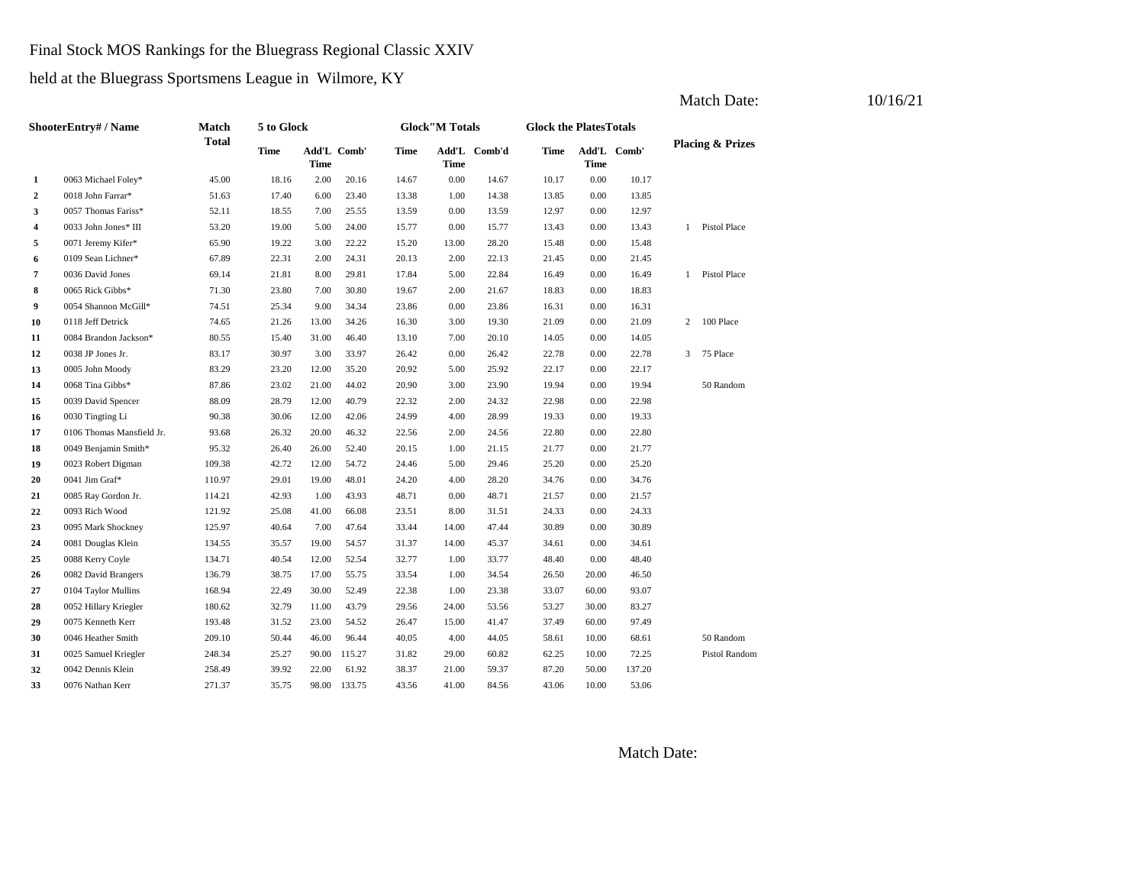#### Final Stock MOS Rankings for the Bluegrass Regional Classic XXIV

held at the Bluegrass Sportsmens League in Wilmore, KY

|                | ShooterEntry# / Name      | Match        | 5 to Glock  |             |             |       | <b>Glock</b> "M Totals |              | <b>Glock the PlatesTotals</b> |       |             |                |                             |
|----------------|---------------------------|--------------|-------------|-------------|-------------|-------|------------------------|--------------|-------------------------------|-------|-------------|----------------|-----------------------------|
|                |                           | <b>Total</b> | <b>Time</b> | <b>Time</b> | Add'L Comb' | Time  | <b>Time</b>            | Add'L Comb'd | Time                          | Time  | Add'L Comb' |                | <b>Placing &amp; Prizes</b> |
| 1              | 0063 Michael Foley*       | 45.00        | 18.16       | 2.00        | 20.16       | 14.67 | 0.00                   | 14.67        | 10.17                         | 0.00  | 10.17       |                |                             |
| $\overline{2}$ | 0018 John Farrar*         | 51.63        | 17.40       | 6.00        | 23.40       | 13.38 | 1.00                   | 14.38        | 13.85                         | 0.00  | 13.85       |                |                             |
| 3              | 0057 Thomas Fariss*       | 52.11        | 18.55       | 7.00        | 25.55       | 13.59 | 0.00                   | 13.59        | 12.97                         | 0.00  | 12.97       |                |                             |
| 4              | 0033 John Jones* III      | 53.20        | 19.00       | 5.00        | 24.00       | 15.77 | 0.00                   | 15.77        | 13.43                         | 0.00  | 13.43       |                | Pistol Place                |
| 5              | 0071 Jeremy Kifer*        | 65.90        | 19.22       | 3.00        | 22.22       | 15.20 | 13.00                  | 28.20        | 15.48                         | 0.00  | 15.48       |                |                             |
| 6              | 0109 Sean Lichner*        | 67.89        | 22.31       | 2.00        | 24.31       | 20.13 | 2.00                   | 22.13        | 21.45                         | 0.00  | 21.45       |                |                             |
| 7              | 0036 David Jones          | 69.14        | 21.81       | 8.00        | 29.81       | 17.84 | 5.00                   | 22.84        | 16.49                         | 0.00  | 16.49       |                | Pistol Place                |
| 8              | 0065 Rick Gibbs*          | 71.30        | 23.80       | 7.00        | 30.80       | 19.67 | 2.00                   | 21.67        | 18.83                         | 0.00  | 18.83       |                |                             |
| 9              | 0054 Shannon McGill*      | 74.51        | 25.34       | 9.00        | 34.34       | 23.86 | 0.00                   | 23.86        | 16.31                         | 0.00  | 16.31       |                |                             |
| 10             | 0118 Jeff Detrick         | 74.65        | 21.26       | 13.00       | 34.26       | 16.30 | 3.00                   | 19.30        | 21.09                         | 0.00  | 21.09       | $\overline{2}$ | 100 Place                   |
| 11             | 0084 Brandon Jackson*     | 80.55        | 15.40       | 31.00       | 46.40       | 13.10 | 7.00                   | 20.10        | 14.05                         | 0.00  | 14.05       |                |                             |
| 12             | 0038 JP Jones Jr.         | 83.17        | 30.97       | 3.00        | 33.97       | 26.42 | 0.00                   | 26.42        | 22.78                         | 0.00  | 22.78       | 3              | 75 Place                    |
| 13             | 0005 John Moody           | 83.29        | 23.20       | 12.00       | 35.20       | 20.92 | 5.00                   | 25.92        | 22.17                         | 0.00  | 22.17       |                |                             |
| 14             | 0068 Tina Gibbs*          | 87.86        | 23.02       | 21.00       | 44.02       | 20.90 | 3.00                   | 23.90        | 19.94                         | 0.00  | 19.94       |                | 50 Random                   |
| 15             | 0039 David Spencer        | 88.09        | 28.79       | 12.00       | 40.79       | 22.32 | 2.00                   | 24.32        | 22.98                         | 0.00  | 22.98       |                |                             |
| 16             | 0030 Tingting Li          | 90.38        | 30.06       | 12.00       | 42.06       | 24.99 | 4.00                   | 28.99        | 19.33                         | 0.00  | 19.33       |                |                             |
| 17             | 0106 Thomas Mansfield Jr. | 93.68        | 26.32       | 20.00       | 46.32       | 22.56 | 2.00                   | 24.56        | 22.80                         | 0.00  | 22.80       |                |                             |
| 18             | 0049 Benjamin Smith*      | 95.32        | 26.40       | 26.00       | 52.40       | 20.15 | 1.00                   | 21.15        | 21.77                         | 0.00  | 21.77       |                |                             |
| 19             | 0023 Robert Digman        | 109.38       | 42.72       | 12.00       | 54.72       | 24.46 | 5.00                   | 29.46        | 25.20                         | 0.00  | 25.20       |                |                             |
| 20             | 0041 Jim Graf*            | 110.97       | 29.01       | 19.00       | 48.01       | 24.20 | 4.00                   | 28.20        | 34.76                         | 0.00  | 34.76       |                |                             |
| 21             | 0085 Ray Gordon Jr.       | 114.21       | 42.93       | 1.00        | 43.93       | 48.71 | 0.00                   | 48.71        | 21.57                         | 0.00  | 21.57       |                |                             |
| 22             | 0093 Rich Wood            | 121.92       | 25.08       | 41.00       | 66.08       | 23.51 | 8.00                   | 31.51        | 24.33                         | 0.00  | 24.33       |                |                             |
| 23             | 0095 Mark Shockney        | 125.97       | 40.64       | 7.00        | 47.64       | 33.44 | 14.00                  | 47.44        | 30.89                         | 0.00  | 30.89       |                |                             |
| 24             | 0081 Douglas Klein        | 134.55       | 35.57       | 19.00       | 54.57       | 31.37 | 14.00                  | 45.37        | 34.61                         | 0.00  | 34.61       |                |                             |
| 25             | 0088 Kerry Coyle          | 134.71       | 40.54       | 12.00       | 52.54       | 32.77 | 1.00                   | 33.77        | 48.40                         | 0.00  | 48.40       |                |                             |
| 26             | 0082 David Brangers       | 136.79       | 38.75       | 17.00       | 55.75       | 33.54 | 1.00                   | 34.54        | 26.50                         | 20.00 | 46.50       |                |                             |
| 27             | 0104 Taylor Mullins       | 168.94       | 22.49       | 30.00       | 52.49       | 22.38 | 1.00                   | 23.38        | 33.07                         | 60.00 | 93.07       |                |                             |
| 28             | 0052 Hillary Kriegler     | 180.62       | 32.79       | 11.00       | 43.79       | 29.56 | 24.00                  | 53.56        | 53.27                         | 30.00 | 83.27       |                |                             |
| 29             | 0075 Kenneth Kerr         | 193.48       | 31.52       | 23.00       | 54.52       | 26.47 | 15.00                  | 41.47        | 37.49                         | 60.00 | 97.49       |                |                             |
| 30             | 0046 Heather Smith        | 209.10       | 50.44       | 46.00       | 96.44       | 40.05 | 4.00                   | 44.05        | 58.61                         | 10.00 | 68.61       |                | 50 Random                   |
| 31             | 0025 Samuel Kriegler      | 248.34       | 25.27       | 90.00       | 115.27      | 31.82 | 29.00                  | 60.82        | 62.25                         | 10.00 | 72.25       |                | Pistol Random               |
| 32             | 0042 Dennis Klein         | 258.49       | 39.92       | 22.00       | 61.92       | 38.37 | 21.00                  | 59.37        | 87.20                         | 50.00 | 137.20      |                |                             |
| 33             | 0076 Nathan Kerr          | 271.37       | 35.75       | 98.00       | 133.75      | 43.56 | 41.00                  | 84.56        | 43.06                         | 10.00 | 53.06       |                |                             |

Match Date: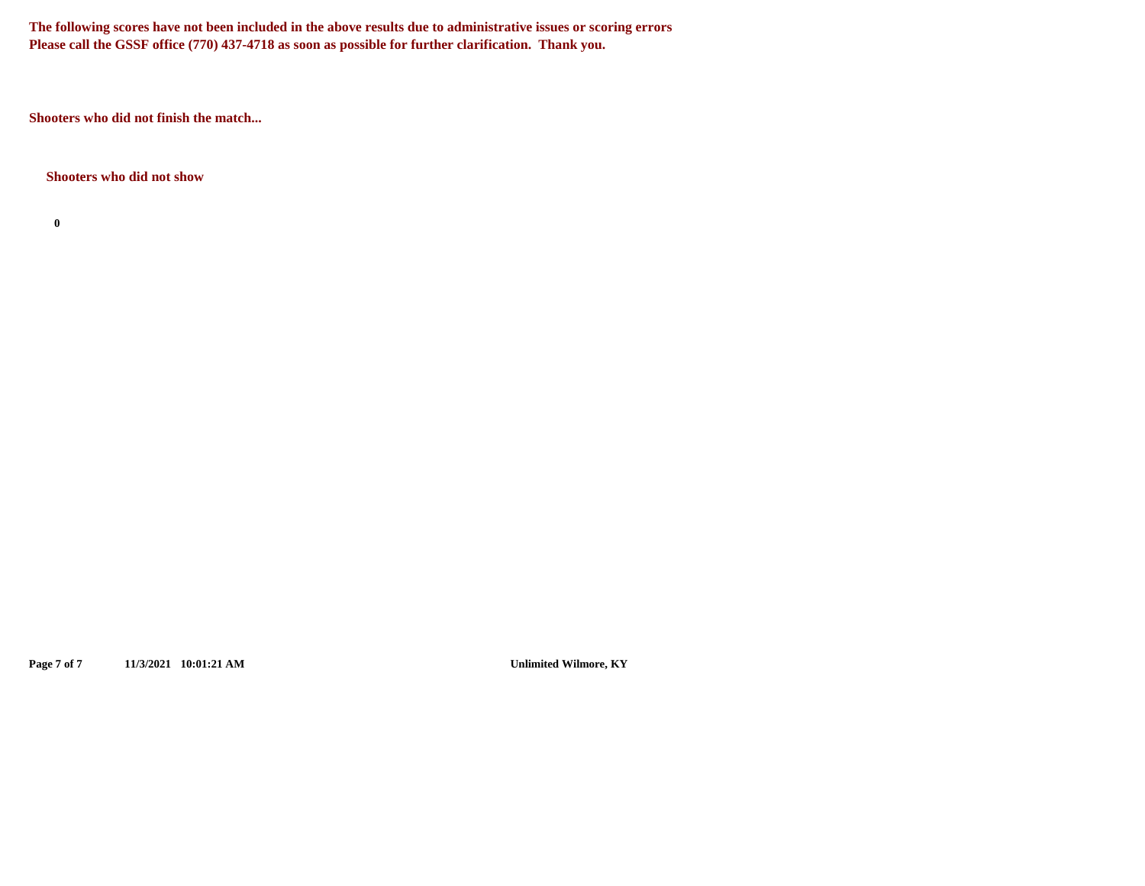**The following scores have not been included in the above results due to administrative issues or scoring errors Please call the GSSF office (770) 437-4718 as soon as possible for further clarification. Thank you.**

**Shooters who did not finish the match...**

**Shooters who did not show**

**0**

**Page 7 of 7 11/3/2021 10:01:21 AM Unlimited Wilmore, KY**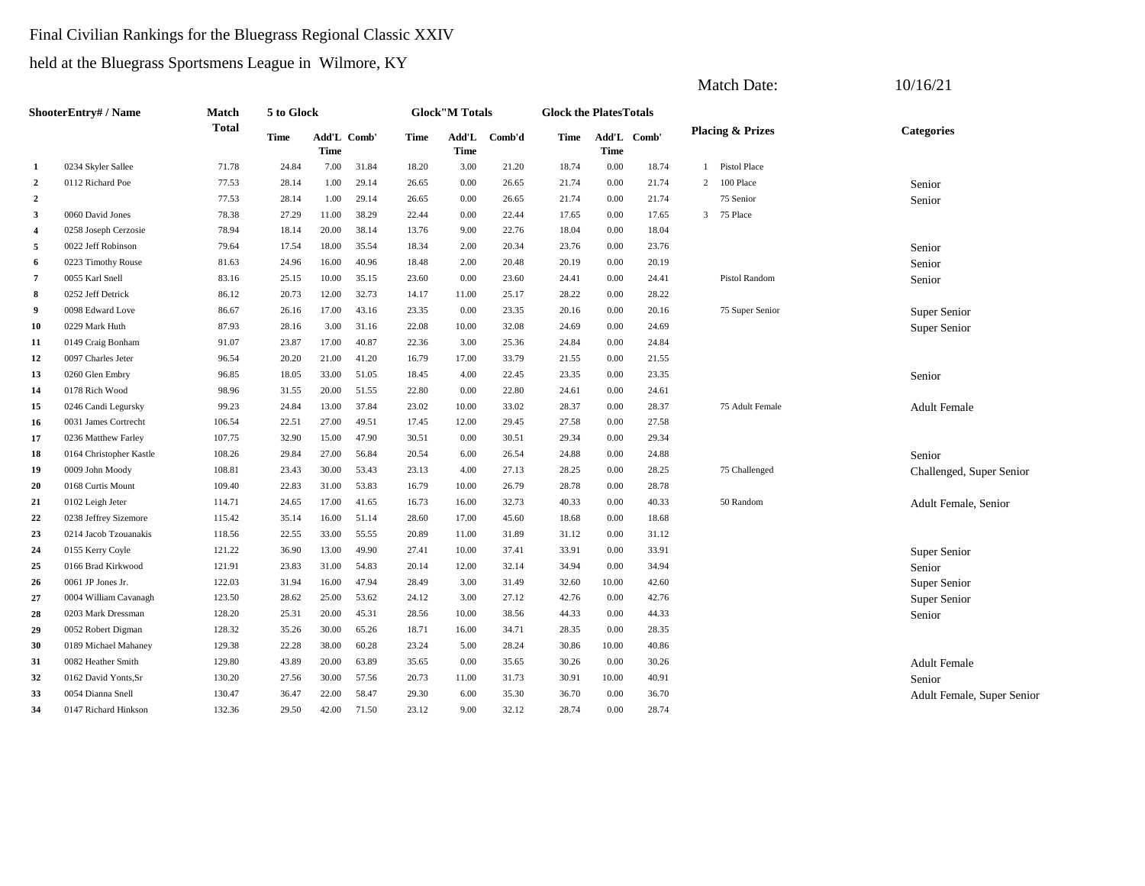#### Final Civilian Rankings for the Bluegrass Regional Classic XXIV

held at the Bluegrass Sportsmens League in Wilmore, KY

|                         |                         |              |             |             |             |       |                        |              |                               |             |             | <b>Match Date:</b>           | 10/16/21                   |
|-------------------------|-------------------------|--------------|-------------|-------------|-------------|-------|------------------------|--------------|-------------------------------|-------------|-------------|------------------------------|----------------------------|
|                         | ShooterEntry# / Name    | <b>Match</b> | 5 to Glock  |             |             |       | <b>Glock</b> "M Totals |              | <b>Glock the PlatesTotals</b> |             |             |                              |                            |
|                         |                         | <b>Total</b> | <b>Time</b> | <b>Time</b> | Add'L Comb' | Time  | <b>Time</b>            | Add'L Comb'd | Time                          | <b>Time</b> | Add'L Comb' | <b>Placing &amp; Prizes</b>  | <b>Categories</b>          |
| 1                       | 0234 Skyler Sallee      | 71.78        | 24.84       | 7.00        | 31.84       | 18.20 | 3.00                   | 21.20        | 18.74                         | 0.00        | 18.74       | Pistol Place<br>$\mathbf{1}$ |                            |
| $\overline{2}$          | 0112 Richard Poe        | 77.53        | 28.14       | 1.00        | 29.14       | 26.65 | 0.00                   | 26.65        | 21.74                         | 0.00        | 21.74       | 2 100 Place                  | Senior                     |
| $\overline{2}$          |                         | 77.53        | 28.14       | 1.00        | 29.14       | 26.65 | 0.00                   | 26.65        | 21.74                         | 0.00        | 21.74       | 75 Senior                    | Senior                     |
| 3                       | 0060 David Jones        | 78.38        | 27.29       | 11.00       | 38.29       | 22.44 | 0.00                   | 22.44        | 17.65                         | 0.00        | 17.65       | 3 75 Place                   |                            |
| $\overline{\mathbf{4}}$ | 0258 Joseph Cerzosie    | 78.94        | 18.14       | 20.00       | 38.14       | 13.76 | 9.00                   | 22.76        | 18.04                         | 0.00        | 18.04       |                              |                            |
| 5                       | 0022 Jeff Robinson      | 79.64        | 17.54       | 18.00       | 35.54       | 18.34 | 2.00                   | 20.34        | 23.76                         | 0.00        | 23.76       |                              | Senior                     |
| 6                       | 0223 Timothy Rouse      | 81.63        | 24.96       | 16.00       | 40.96       | 18.48 | 2.00                   | 20.48        | 20.19                         | 0.00        | 20.19       |                              | Senior                     |
| $\overline{7}$          | 0055 Karl Snell         | 83.16        | 25.15       | 10.00       | 35.15       | 23.60 | 0.00                   | 23.60        | 24.41                         | 0.00        | 24.41       | Pistol Random                | Senior                     |
| 8                       | 0252 Jeff Detrick       | 86.12        | 20.73       | 12.00       | 32.73       | 14.17 | 11.00                  | 25.17        | 28.22                         | 0.00        | 28.22       |                              |                            |
| 9                       | 0098 Edward Love        | 86.67        | 26.16       | 17.00       | 43.16       | 23.35 | 0.00                   | 23.35        | 20.16                         | 0.00        | 20.16       | 75 Super Senior              | Super Senior               |
| 10                      | 0229 Mark Huth          | 87.93        | 28.16       | 3.00        | 31.16       | 22.08 | 10.00                  | 32.08        | 24.69                         | 0.00        | 24.69       |                              | Super Senior               |
| 11                      | 0149 Craig Bonham       | 91.07        | 23.87       | 17.00       | 40.87       | 22.36 | 3.00                   | 25.36        | 24.84                         | 0.00        | 24.84       |                              |                            |
| 12                      | 0097 Charles Jeter      | 96.54        | 20.20       | 21.00       | 41.20       | 16.79 | 17.00                  | 33.79        | 21.55                         | 0.00        | 21.55       |                              |                            |
| 13                      | 0260 Glen Embry         | 96.85        | 18.05       | 33.00       | 51.05       | 18.45 | 4.00                   | 22.45        | 23.35                         | 0.00        | 23.35       |                              | Senior                     |
| 14                      | 0178 Rich Wood          | 98.96        | 31.55       | 20.00       | 51.55       | 22.80 | 0.00                   | 22.80        | 24.61                         | 0.00        | 24.61       |                              |                            |
| 15                      | 0246 Candi Legursky     | 99.23        | 24.84       | 13.00       | 37.84       | 23.02 | 10.00                  | 33.02        | 28.37                         | 0.00        | 28.37       | 75 Adult Female              | <b>Adult Female</b>        |
| 16                      | 0031 James Cortrecht    | 106.54       | 22.51       | 27.00       | 49.51       | 17.45 | 12.00                  | 29.45        | 27.58                         | 0.00        | 27.58       |                              |                            |
| 17                      | 0236 Matthew Farley     | 107.75       | 32.90       | 15.00       | 47.90       | 30.51 | 0.00                   | 30.51        | 29.34                         | 0.00        | 29.34       |                              |                            |
| 18                      | 0164 Christopher Kastle | 108.26       | 29.84       | 27.00       | 56.84       | 20.54 | 6.00                   | 26.54        | 24.88                         | 0.00        | 24.88       |                              | Senior                     |
| 19                      | 0009 John Moody         | 108.81       | 23.43       | 30.00       | 53.43       | 23.13 | 4.00                   | 27.13        | 28.25                         | 0.00        | 28.25       | 75 Challenged                | Challenged, Super Senior   |
| 20                      | 0168 Curtis Mount       | 109.40       | 22.83       | 31.00       | 53.83       | 16.79 | 10.00                  | 26.79        | 28.78                         | 0.00        | 28.78       |                              |                            |
| 21                      | 0102 Leigh Jeter        | 114.71       | 24.65       | 17.00       | 41.65       | 16.73 | 16.00                  | 32.73        | 40.33                         | 0.00        | 40.33       | 50 Random                    | Adult Female, Senior       |
| 22                      | 0238 Jeffrey Sizemore   | 115.42       | 35.14       | 16.00       | 51.14       | 28.60 | 17.00                  | 45.60        | 18.68                         | 0.00        | 18.68       |                              |                            |
| 23                      | 0214 Jacob Tzouanakis   | 118.56       | 22.55       | 33.00       | 55.55       | 20.89 | 11.00                  | 31.89        | 31.12                         | 0.00        | 31.12       |                              |                            |
| 24                      | 0155 Kerry Coyle        | 121.22       | 36.90       | 13.00       | 49.90       | 27.41 | 10.00                  | 37.41        | 33.91                         | 0.00        | 33.91       |                              | Super Senior               |
| 25                      | 0166 Brad Kirkwood      | 121.91       | 23.83       | 31.00       | 54.83       | 20.14 | 12.00                  | 32.14        | 34.94                         | 0.00        | 34.94       |                              | Senior                     |
| 26                      | 0061 JP Jones Jr.       | 122.03       | 31.94       | 16.00       | 47.94       | 28.49 | 3.00                   | 31.49        | 32.60                         | 10.00       | 42.60       |                              | Super Senior               |
| 27                      | 0004 William Cavanagh   | 123.50       | 28.62       | 25.00       | 53.62       | 24.12 | 3.00                   | 27.12        | 42.76                         | 0.00        | 42.76       |                              | Super Senior               |
| 28                      | 0203 Mark Dressman      | 128.20       | 25.31       | 20.00       | 45.31       | 28.56 | 10.00                  | 38.56        | 44.33                         | 0.00        | 44.33       |                              | Senior                     |
| 29                      | 0052 Robert Digman      | 128.32       | 35.26       | 30.00       | 65.26       | 18.71 | 16.00                  | 34.71        | 28.35                         | 0.00        | 28.35       |                              |                            |
| 30                      | 0189 Michael Mahaney    | 129.38       | 22.28       | 38.00       | 60.28       | 23.24 | 5.00                   | 28.24        | 30.86                         | 10.00       | 40.86       |                              |                            |
| 31                      | 0082 Heather Smith      | 129.80       | 43.89       | 20.00       | 63.89       | 35.65 | 0.00                   | 35.65        | 30.26                         | 0.00        | 30.26       |                              | <b>Adult Female</b>        |
| 32                      | 0162 David Yonts, Sr    | 130.20       | 27.56       | 30.00       | 57.56       | 20.73 | 11.00                  | 31.73        | 30.91                         | 10.00       | 40.91       |                              | Senior                     |
| 33                      | 0054 Dianna Snell       | 130.47       | 36.47       | 22.00       | 58.47       | 29.30 | 6.00                   | 35.30        | 36.70                         | 0.00        | 36.70       |                              | Adult Female, Super Senior |
| 34                      | 0147 Richard Hinkson    | 132.36       | 29.50       | 42.00       | 71.50       | 23.12 | 9.00                   | 32.12        | 28.74                         | 0.00        | 28.74       |                              |                            |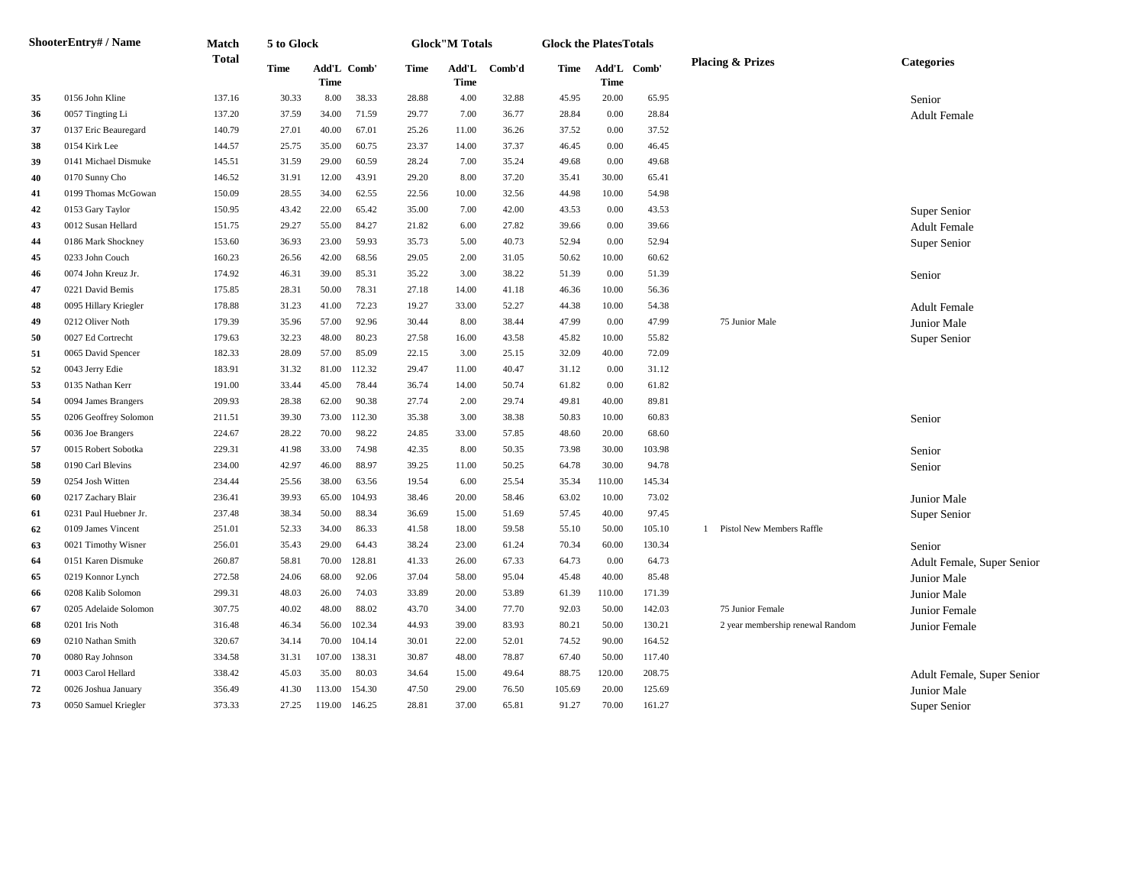|    | ShooterEntry# / Name  | Match        | 5 to Glock |        |             |       | <b>Glock</b> "M Totals |        | <b>Glock the PlatesTotals</b> |             |             |                                  |                            |
|----|-----------------------|--------------|------------|--------|-------------|-------|------------------------|--------|-------------------------------|-------------|-------------|----------------------------------|----------------------------|
|    |                       | <b>Total</b> | Time       | Time   | Add'L Comb' | Time  | Add'L<br>Time          | Comb'd | Time                          | <b>Time</b> | Add'L Comb' | <b>Placing &amp; Prizes</b>      | <b>Categories</b>          |
| 35 | 0156 John Kline       | 137.16       | 30.33      | 8.00   | 38.33       | 28.88 | 4.00                   | 32.88  | 45.95                         | 20.00       | 65.95       |                                  | Senior                     |
| 36 | 0057 Tingting Li      | 137.20       | 37.59      | 34.00  | 71.59       | 29.77 | 7.00                   | 36.77  | 28.84                         | 0.00        | 28.84       |                                  | <b>Adult Female</b>        |
| 37 | 0137 Eric Beauregard  | 140.79       | 27.01      | 40.00  | 67.01       | 25.26 | 11.00                  | 36.26  | 37.52                         | 0.00        | 37.52       |                                  |                            |
| 38 | 0154 Kirk Lee         | 144.57       | 25.75      | 35.00  | 60.75       | 23.37 | 14.00                  | 37.37  | 46.45                         | 0.00        | 46.45       |                                  |                            |
| 39 | 0141 Michael Dismuke  | 145.51       | 31.59      | 29.00  | 60.59       | 28.24 | 7.00                   | 35.24  | 49.68                         | 0.00        | 49.68       |                                  |                            |
| 40 | 0170 Sunny Cho        | 146.52       | 31.91      | 12.00  | 43.91       | 29.20 | 8.00                   | 37.20  | 35.41                         | 30.00       | 65.41       |                                  |                            |
| 41 | 0199 Thomas McGowan   | 150.09       | 28.55      | 34.00  | 62.55       | 22.56 | 10.00                  | 32.56  | 44.98                         | 10.00       | 54.98       |                                  |                            |
| 42 | 0153 Gary Taylor      | 150.95       | 43.42      | 22.00  | 65.42       | 35.00 | 7.00                   | 42.00  | 43.53                         | 0.00        | 43.53       |                                  | Super Senior               |
| 43 | 0012 Susan Hellard    | 151.75       | 29.27      | 55.00  | 84.27       | 21.82 | 6.00                   | 27.82  | 39.66                         | 0.00        | 39.66       |                                  | <b>Adult Female</b>        |
| 44 | 0186 Mark Shockney    | 153.60       | 36.93      | 23.00  | 59.93       | 35.73 | 5.00                   | 40.73  | 52.94                         | 0.00        | 52.94       |                                  | Super Senior               |
| 45 | 0233 John Couch       | 160.23       | 26.56      | 42.00  | 68.56       | 29.05 | 2.00                   | 31.05  | 50.62                         | 10.00       | 60.62       |                                  |                            |
| 46 | 0074 John Kreuz Jr.   | 174.92       | 46.31      | 39.00  | 85.31       | 35.22 | 3.00                   | 38.22  | 51.39                         | 0.00        | 51.39       |                                  | Senior                     |
| 47 | 0221 David Bemis      | 175.85       | 28.31      | 50.00  | 78.31       | 27.18 | 14.00                  | 41.18  | 46.36                         | 10.00       | 56.36       |                                  |                            |
| 48 | 0095 Hillary Kriegler | 178.88       | 31.23      | 41.00  | 72.23       | 19.27 | 33.00                  | 52.27  | 44.38                         | 10.00       | 54.38       |                                  | <b>Adult Female</b>        |
| 49 | 0212 Oliver Noth      | 179.39       | 35.96      | 57.00  | 92.96       | 30.44 | 8.00                   | 38.44  | 47.99                         | 0.00        | 47.99       | 75 Junior Male                   | Junior Male                |
| 50 | 0027 Ed Cortrecht     | 179.63       | 32.23      | 48.00  | 80.23       | 27.58 | 16.00                  | 43.58  | 45.82                         | 10.00       | 55.82       |                                  | Super Senior               |
| 51 | 0065 David Spencer    | 182.33       | 28.09      | 57.00  | 85.09       | 22.15 | 3.00                   | 25.15  | 32.09                         | 40.00       | 72.09       |                                  |                            |
| 52 | 0043 Jerry Edie       | 183.91       | 31.32      | 81.00  | 112.32      | 29.47 | 11.00                  | 40.47  | 31.12                         | 0.00        | 31.12       |                                  |                            |
| 53 | 0135 Nathan Kerr      | 191.00       | 33.44      | 45.00  | 78.44       | 36.74 | 14.00                  | 50.74  | 61.82                         | 0.00        | 61.82       |                                  |                            |
| 54 | 0094 James Brangers   | 209.93       | 28.38      | 62.00  | 90.38       | 27.74 | 2.00                   | 29.74  | 49.81                         | 40.00       | 89.81       |                                  |                            |
| 55 | 0206 Geoffrey Solomon | 211.51       | 39.30      | 73.00  | 112.30      | 35.38 | 3.00                   | 38.38  | 50.83                         | 10.00       | 60.83       |                                  | Senior                     |
| 56 | 0036 Joe Brangers     | 224.67       | 28.22      | 70.00  | 98.22       | 24.85 | 33.00                  | 57.85  | 48.60                         | 20.00       | 68.60       |                                  |                            |
| 57 | 0015 Robert Sobotka   | 229.31       | 41.98      | 33.00  | 74.98       | 42.35 | 8.00                   | 50.35  | 73.98                         | 30.00       | 103.98      |                                  | Senior                     |
| 58 | 0190 Carl Blevins     | 234.00       | 42.97      | 46.00  | 88.97       | 39.25 | 11.00                  | 50.25  | 64.78                         | 30.00       | 94.78       |                                  | Senior                     |
| 59 | 0254 Josh Witten      | 234.44       | 25.56      | 38.00  | 63.56       | 19.54 | 6.00                   | 25.54  | 35.34                         | 110.00      | 145.34      |                                  |                            |
| 60 | 0217 Zachary Blair    | 236.41       | 39.93      | 65.00  | 104.93      | 38.46 | 20.00                  | 58.46  | 63.02                         | 10.00       | 73.02       |                                  | Junior Male                |
| 61 | 0231 Paul Huebner Jr. | 237.48       | 38.34      | 50.00  | 88.34       | 36.69 | 15.00                  | 51.69  | 57.45                         | 40.00       | 97.45       |                                  | Super Senior               |
| 62 | 0109 James Vincent    | 251.01       | 52.33      | 34.00  | 86.33       | 41.58 | 18.00                  | 59.58  | 55.10                         | 50.00       | 105.10      | 1 Pistol New Members Raffle      |                            |
| 63 | 0021 Timothy Wisner   | 256.01       | 35.43      | 29.00  | 64.43       | 38.24 | 23.00                  | 61.24  | 70.34                         | 60.00       | 130.34      |                                  | Senior                     |
| 64 | 0151 Karen Dismuke    | 260.87       | 58.81      | 70.00  | 128.81      | 41.33 | 26.00                  | 67.33  | 64.73                         | 0.00        | 64.73       |                                  | Adult Female, Super Senior |
| 65 | 0219 Konnor Lynch     | 272.58       | 24.06      | 68.00  | 92.06       | 37.04 | 58.00                  | 95.04  | 45.48                         | 40.00       | 85.48       |                                  | Junior Male                |
| 66 | 0208 Kalib Solomon    | 299.31       | 48.03      | 26.00  | 74.03       | 33.89 | 20.00                  | 53.89  | 61.39                         | 110.00      | 171.39      |                                  | Junior Male                |
| 67 | 0205 Adelaide Solomon | 307.75       | 40.02      | 48.00  | 88.02       | 43.70 | 34.00                  | 77.70  | 92.03                         | 50.00       | 142.03      | 75 Junior Female                 | Junior Female              |
| 68 | 0201 Iris Noth        | 316.48       | 46.34      | 56.00  | 102.34      | 44.93 | 39.00                  | 83.93  | 80.21                         | 50.00       | 130.21      | 2 year membership renewal Random | Junior Female              |
| 69 | 0210 Nathan Smith     | 320.67       | 34.14      | 70.00  | 104.14      | 30.01 | 22.00                  | 52.01  | 74.52                         | 90.00       | 164.52      |                                  |                            |
| 70 | 0080 Ray Johnson      | 334.58       | 31.31      | 107.00 | 138.31      | 30.87 | 48.00                  | 78.87  | 67.40                         | 50.00       | 117.40      |                                  |                            |
| 71 | 0003 Carol Hellard    | 338.42       | 45.03      | 35.00  | 80.03       | 34.64 | 15.00                  | 49.64  | 88.75                         | 120.00      | 208.75      |                                  | Adult Female, Super Senior |
| 72 | 0026 Joshua January   | 356.49       | 41.30      | 113.00 | 154.30      | 47.50 | 29.00                  | 76.50  | 105.69                        | 20.00       | 125.69      |                                  | Junior Male                |
| 73 | 0050 Samuel Kriegler  | 373.33       | 27.25      | 119.00 | 146.25      | 28.81 | 37.00                  | 65.81  | 91.27                         | 70.00       | 161.27      |                                  | Super Senior               |
|    |                       |              |            |        |             |       |                        |        |                               |             |             |                                  |                            |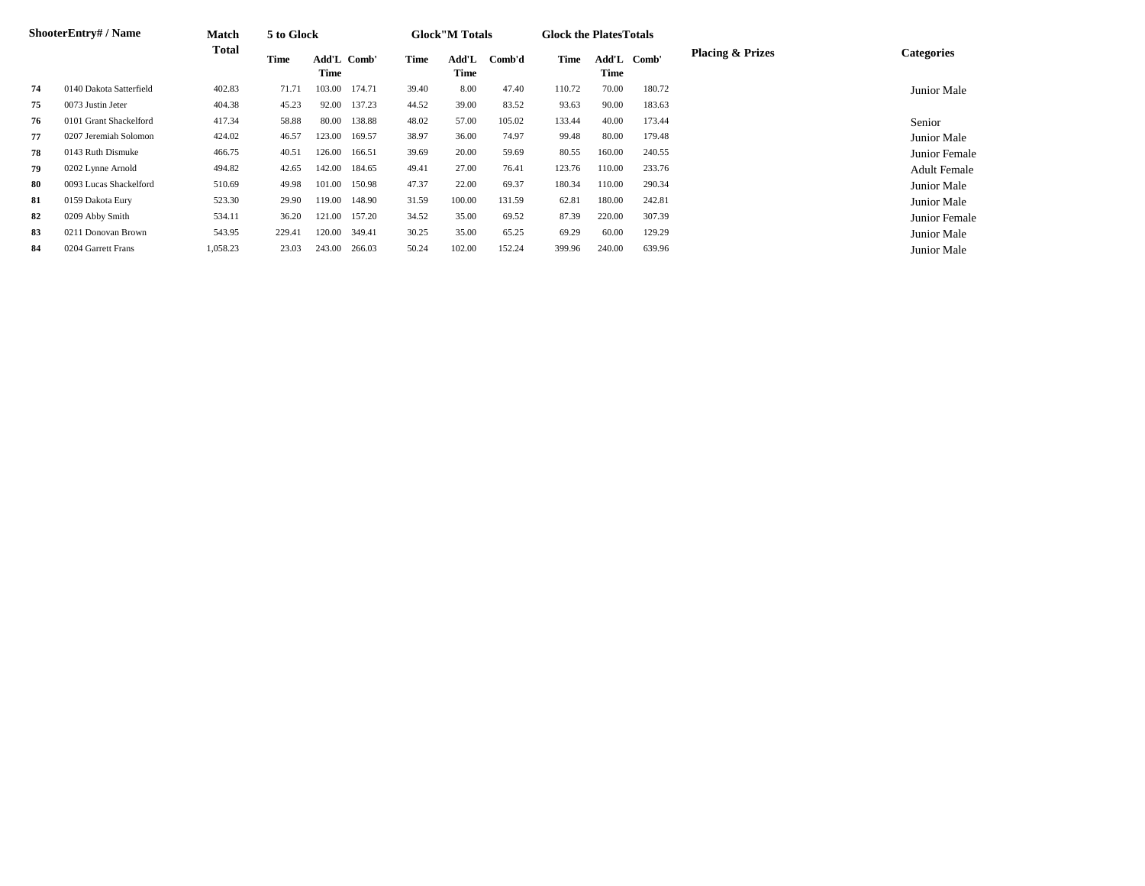|    | <b>ShooterEntry#/Name</b> | <b>Match</b> | 5 to Glock |                     |        |       | <b>Glock</b> "M Totals |        | <b>Glock the PlatesTotals</b> |               |        |                             |                     |
|----|---------------------------|--------------|------------|---------------------|--------|-------|------------------------|--------|-------------------------------|---------------|--------|-----------------------------|---------------------|
|    |                           | <b>Total</b> | Time       | Add'L Comb'<br>Time |        | Time  | Add'L<br>Time          | Comb'd | Time                          | Add'L<br>Time | Comb'  | <b>Placing &amp; Prizes</b> | <b>Categories</b>   |
| 74 | 0140 Dakota Satterfield   | 402.83       | 71.71      | 103.00              | 174.71 | 39.40 | 8.00                   | 47.40  | 110.72                        | 70.00         | 180.72 |                             | Junior Male         |
| 75 | 0073 Justin Jeter         | 404.38       | 45.23      | 92.00               | 137.23 | 44.52 | 39.00                  | 83.52  | 93.63                         | 90.00         | 183.63 |                             |                     |
| 76 | 0101 Grant Shackelford    | 417.34       | 58.88      | 80.00               | 138.88 | 48.02 | 57.00                  | 105.02 | 133.44                        | 40.00         | 173.44 |                             | Senior              |
| 77 | 0207 Jeremiah Solomon     | 424.02       | 46.57      | 123.00              | 169.57 | 38.97 | 36.00                  | 74.97  | 99.48                         | 80.00         | 179.48 |                             | Junior Male         |
| 78 | 0143 Ruth Dismuke         | 466.75       | 40.51      | 126.00              | 166.51 | 39.69 | 20.00                  | 59.69  | 80.55                         | 160.00        | 240.55 |                             | Junior Female       |
| 79 | 0202 Lynne Arnold         | 494.82       | 42.65      | 142.00              | 184.65 | 49.41 | 27.00                  | 76.41  | 123.76                        | 110.00        | 233.76 |                             | <b>Adult Female</b> |
| 80 | 0093 Lucas Shackelford    | 510.69       | 49.98      | 101.00              | 150.98 | 47.37 | 22.00                  | 69.37  | 180.34                        | 110.00        | 290.34 |                             | Junior Male         |
| 81 | 0159 Dakota Eury          | 523.30       | 29.90      | 119.00              | 148.90 | 31.59 | 100.00                 | 131.59 | 62.81                         | 180.00        | 242.81 |                             | Junior Male         |
| 82 | 0209 Abby Smith           | 534.11       | 36.20      | 121.00              | 157.20 | 34.52 | 35.00                  | 69.52  | 87.39                         | 220.00        | 307.39 |                             | Junior Female       |
| 83 | 0211 Donovan Brown        | 543.95       | 229.41     | 120.00              | 349.41 | 30.25 | 35.00                  | 65.25  | 69.29                         | 60.00         | 129.29 |                             | Junior Male         |
| 84 | 0204 Garrett Frans        | 1,058.23     | 23.03      | 243.00              | 266.03 | 50.24 | 102.00                 | 152.24 | 399.96                        | 240.00        | 639.96 |                             | Junior Male         |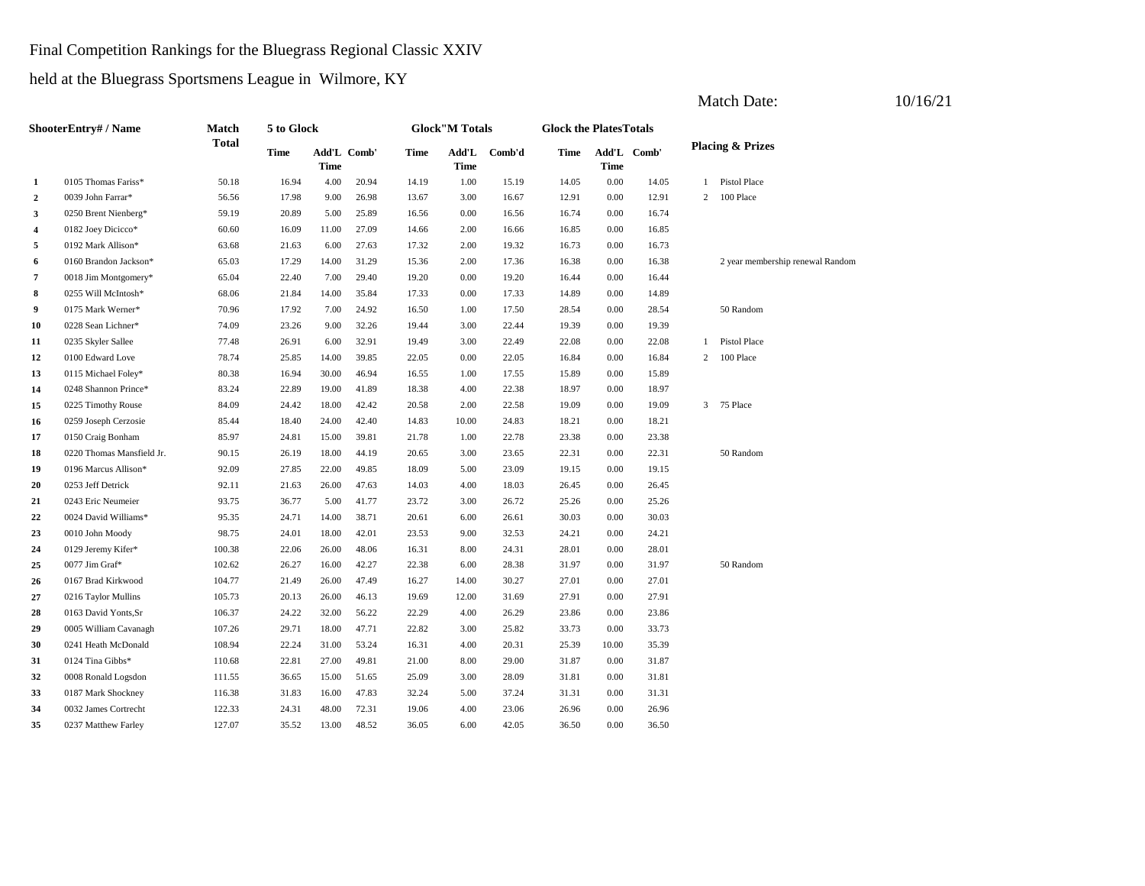# Final Competition Rankings for the Bluegrass Regional Classic XXIV

held at the Bluegrass Sportsmens League in Wilmore, KY

|                | <b>ShooterEntry#/Name</b> | Match  | 5 to Glock  |                            |       |       | <b>Glock"M Totals</b> |        | <b>Glock the PlatesTotals</b> |             |             |              |                                  |
|----------------|---------------------------|--------|-------------|----------------------------|-------|-------|-----------------------|--------|-------------------------------|-------------|-------------|--------------|----------------------------------|
|                |                           | Total  | <b>Time</b> | Add'L Comb'<br><b>Time</b> |       | Time  | Add'L<br><b>Time</b>  | Comb'd | Time                          | <b>Time</b> | Add'L Comb' |              | <b>Placing &amp; Prizes</b>      |
| -1             | 0105 Thomas Fariss*       | 50.18  | 16.94       | 4.00                       | 20.94 | 14.19 | 1.00                  | 15.19  | 14.05                         | 0.00        | 14.05       | $\mathbf{1}$ | Pistol Place                     |
| $\overline{2}$ | 0039 John Farrar*         | 56.56  | 17.98       | 9.00                       | 26.98 | 13.67 | 3.00                  | 16.67  | 12.91                         | 0.00        | 12.91       | 2            | 100 Place                        |
| 3              | 0250 Brent Nienberg*      | 59.19  | 20.89       | 5.00                       | 25.89 | 16.56 | 0.00                  | 16.56  | 16.74                         | 0.00        | 16.74       |              |                                  |
| 4              | 0182 Joey Dicicco*        | 60.60  | 16.09       | 11.00                      | 27.09 | 14.66 | 2.00                  | 16.66  | 16.85                         | 0.00        | 16.85       |              |                                  |
| 5              | 0192 Mark Allison*        | 63.68  | 21.63       | 6.00                       | 27.63 | 17.32 | 2.00                  | 19.32  | 16.73                         | 0.00        | 16.73       |              |                                  |
| 6              | 0160 Brandon Jackson*     | 65.03  | 17.29       | 14.00                      | 31.29 | 15.36 | 2.00                  | 17.36  | 16.38                         | 0.00        | 16.38       |              | 2 year membership renewal Random |
| $\overline{7}$ | 0018 Jim Montgomery*      | 65.04  | 22.40       | 7.00                       | 29.40 | 19.20 | 0.00                  | 19.20  | 16.44                         | 0.00        | 16.44       |              |                                  |
| 8              | 0255 Will McIntosh*       | 68.06  | 21.84       | 14.00                      | 35.84 | 17.33 | 0.00                  | 17.33  | 14.89                         | 0.00        | 14.89       |              |                                  |
| 9              | 0175 Mark Werner*         | 70.96  | 17.92       | 7.00                       | 24.92 | 16.50 | 1.00                  | 17.50  | 28.54                         | 0.00        | 28.54       |              | 50 Random                        |
| 10             | 0228 Sean Lichner*        | 74.09  | 23.26       | 9.00                       | 32.26 | 19.44 | 3.00                  | 22.44  | 19.39                         | 0.00        | 19.39       |              |                                  |
| 11             | 0235 Skyler Sallee        | 77.48  | 26.91       | 6.00                       | 32.91 | 19.49 | 3.00                  | 22.49  | 22.08                         | 0.00        | 22.08       |              | 1 Pistol Place                   |
| 12             | 0100 Edward Love          | 78.74  | 25.85       | 14.00                      | 39.85 | 22.05 | 0.00                  | 22.05  | 16.84                         | 0.00        | 16.84       | 2            | 100 Place                        |
| 13             | 0115 Michael Foley*       | 80.38  | 16.94       | 30.00                      | 46.94 | 16.55 | 1.00                  | 17.55  | 15.89                         | 0.00        | 15.89       |              |                                  |
| 14             | 0248 Shannon Prince*      | 83.24  | 22.89       | 19.00                      | 41.89 | 18.38 | 4.00                  | 22.38  | 18.97                         | 0.00        | 18.97       |              |                                  |
| 15             | 0225 Timothy Rouse        | 84.09  | 24.42       | 18.00                      | 42.42 | 20.58 | 2.00                  | 22.58  | 19.09                         | 0.00        | 19.09       |              | 3 75 Place                       |
| 16             | 0259 Joseph Cerzosie      | 85.44  | 18.40       | 24.00                      | 42.40 | 14.83 | 10.00                 | 24.83  | 18.21                         | 0.00        | 18.21       |              |                                  |
| 17             | 0150 Craig Bonham         | 85.97  | 24.81       | 15.00                      | 39.81 | 21.78 | 1.00                  | 22.78  | 23.38                         | 0.00        | 23.38       |              |                                  |
| 18             | 0220 Thomas Mansfield Jr. | 90.15  | 26.19       | 18.00                      | 44.19 | 20.65 | 3.00                  | 23.65  | 22.31                         | 0.00        | 22.31       |              | 50 Random                        |
| 19             | 0196 Marcus Allison*      | 92.09  | 27.85       | 22.00                      | 49.85 | 18.09 | 5.00                  | 23.09  | 19.15                         | 0.00        | 19.15       |              |                                  |
| 20             | 0253 Jeff Detrick         | 92.11  | 21.63       | 26.00                      | 47.63 | 14.03 | 4.00                  | 18.03  | 26.45                         | 0.00        | 26.45       |              |                                  |
| 21             | 0243 Eric Neumeier        | 93.75  | 36.77       | 5.00                       | 41.77 | 23.72 | 3.00                  | 26.72  | 25.26                         | 0.00        | 25.26       |              |                                  |
| 22             | 0024 David Williams*      | 95.35  | 24.71       | 14.00                      | 38.71 | 20.61 | 6.00                  | 26.61  | 30.03                         | 0.00        | 30.03       |              |                                  |
| 23             | 0010 John Moody           | 98.75  | 24.01       | 18.00                      | 42.01 | 23.53 | 9.00                  | 32.53  | 24.21                         | 0.00        | 24.21       |              |                                  |
| 24             | 0129 Jeremy Kifer*        | 100.38 | 22.06       | 26.00                      | 48.06 | 16.31 | 8.00                  | 24.31  | 28.01                         | 0.00        | 28.01       |              |                                  |
| 25             | 0077 Jim Graf*            | 102.62 | 26.27       | 16.00                      | 42.27 | 22.38 | 6.00                  | 28.38  | 31.97                         | 0.00        | 31.97       |              | 50 Random                        |
| 26             | 0167 Brad Kirkwood        | 104.77 | 21.49       | 26.00                      | 47.49 | 16.27 | 14.00                 | 30.27  | 27.01                         | 0.00        | 27.01       |              |                                  |
| 27             | 0216 Taylor Mullins       | 105.73 | 20.13       | 26.00                      | 46.13 | 19.69 | 12.00                 | 31.69  | 27.91                         | 0.00        | 27.91       |              |                                  |
| 28             | 0163 David Yonts, Sr      | 106.37 | 24.22       | 32.00                      | 56.22 | 22.29 | 4.00                  | 26.29  | 23.86                         | 0.00        | 23.86       |              |                                  |
| 29             | 0005 William Cavanagh     | 107.26 | 29.71       | 18.00                      | 47.71 | 22.82 | 3.00                  | 25.82  | 33.73                         | 0.00        | 33.73       |              |                                  |
| 30             | 0241 Heath McDonald       | 108.94 | 22.24       | 31.00                      | 53.24 | 16.31 | 4.00                  | 20.31  | 25.39                         | 10.00       | 35.39       |              |                                  |
| 31             | 0124 Tina Gibbs*          | 110.68 | 22.81       | 27.00                      | 49.81 | 21.00 | 8.00                  | 29.00  | 31.87                         | 0.00        | 31.87       |              |                                  |
| 32             | 0008 Ronald Logsdon       | 111.55 | 36.65       | 15.00                      | 51.65 | 25.09 | 3.00                  | 28.09  | 31.81                         | 0.00        | 31.81       |              |                                  |
| 33             | 0187 Mark Shockney        | 116.38 | 31.83       | 16.00                      | 47.83 | 32.24 | 5.00                  | 37.24  | 31.31                         | 0.00        | 31.31       |              |                                  |
| 34             | 0032 James Cortrecht      | 122.33 | 24.31       | 48.00                      | 72.31 | 19.06 | 4.00                  | 23.06  | 26.96                         | 0.00        | 26.96       |              |                                  |
| 35             | 0237 Matthew Farley       | 127.07 | 35.52       | 13.00                      | 48.52 | 36.05 | 6.00                  | 42.05  | 36.50                         | 0.00        | 36.50       |              |                                  |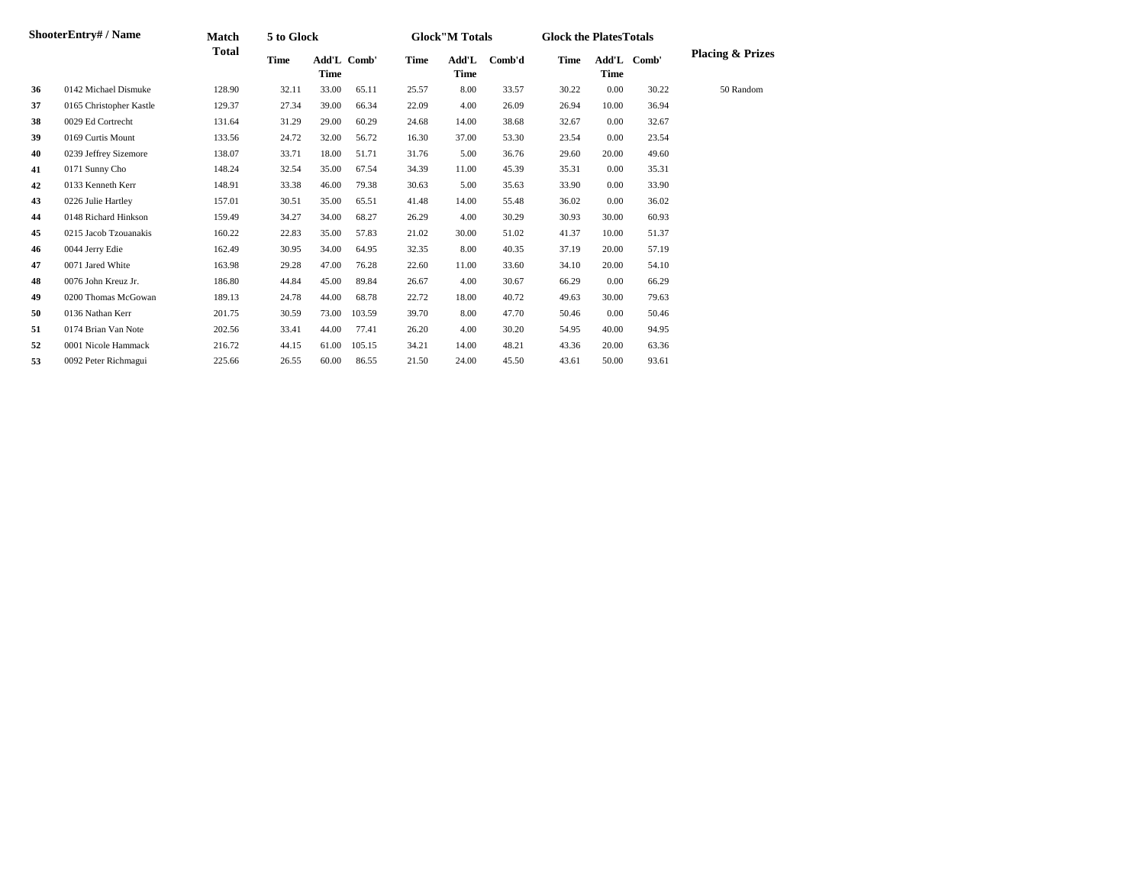|    | <b>ShooterEntry#/Name</b> | Match  | 5 to Glock |       |             |             | <b>Glock</b> "M Totals |        | <b>Glock the Plates Totals</b> |             |             |                             |
|----|---------------------------|--------|------------|-------|-------------|-------------|------------------------|--------|--------------------------------|-------------|-------------|-----------------------------|
|    |                           | Total  | Time       | Time  | Add'L Comb' | <b>Time</b> | Add'L<br>Time          | Comb'd | Time                           | <b>Time</b> | Add'L Comb' | <b>Placing &amp; Prizes</b> |
| 36 | 0142 Michael Dismuke      | 128.90 | 32.11      | 33.00 | 65.11       | 25.57       | 8.00                   | 33.57  | 30.22                          | 0.00        | 30.22       | 50 Random                   |
| 37 | 0165 Christopher Kastle   | 129.37 | 27.34      | 39.00 | 66.34       | 22.09       | 4.00                   | 26.09  | 26.94                          | 10.00       | 36.94       |                             |
| 38 | 0029 Ed Cortrecht         | 131.64 | 31.29      | 29.00 | 60.29       | 24.68       | 14.00                  | 38.68  | 32.67                          | 0.00        | 32.67       |                             |
| 39 | 0169 Curtis Mount         | 133.56 | 24.72      | 32.00 | 56.72       | 16.30       | 37.00                  | 53.30  | 23.54                          | 0.00        | 23.54       |                             |
| 40 | 0239 Jeffrey Sizemore     | 138.07 | 33.71      | 18.00 | 51.71       | 31.76       | 5.00                   | 36.76  | 29.60                          | 20.00       | 49.60       |                             |
| 41 | 0171 Sunny Cho            | 148.24 | 32.54      | 35.00 | 67.54       | 34.39       | 11.00                  | 45.39  | 35.31                          | 0.00        | 35.31       |                             |
| 42 | 0133 Kenneth Kerr         | 148.91 | 33.38      | 46.00 | 79.38       | 30.63       | 5.00                   | 35.63  | 33.90                          | 0.00        | 33.90       |                             |
| 43 | 0226 Julie Hartley        | 157.01 | 30.51      | 35.00 | 65.51       | 41.48       | 14.00                  | 55.48  | 36.02                          | 0.00        | 36.02       |                             |
| 44 | 0148 Richard Hinkson      | 159.49 | 34.27      | 34.00 | 68.27       | 26.29       | 4.00                   | 30.29  | 30.93                          | 30.00       | 60.93       |                             |
| 45 | 0215 Jacob Tzouanakis     | 160.22 | 22.83      | 35.00 | 57.83       | 21.02       | 30.00                  | 51.02  | 41.37                          | 10.00       | 51.37       |                             |
| 46 | 0044 Jerry Edie           | 162.49 | 30.95      | 34.00 | 64.95       | 32.35       | 8.00                   | 40.35  | 37.19                          | 20.00       | 57.19       |                             |
| 47 | 0071 Jared White          | 163.98 | 29.28      | 47.00 | 76.28       | 22.60       | 11.00                  | 33.60  | 34.10                          | 20.00       | 54.10       |                             |
| 48 | 0076 John Kreuz Jr.       | 186.80 | 44.84      | 45.00 | 89.84       | 26.67       | 4.00                   | 30.67  | 66.29                          | 0.00        | 66.29       |                             |
| 49 | 0200 Thomas McGowan       | 189.13 | 24.78      | 44.00 | 68.78       | 22.72       | 18.00                  | 40.72  | 49.63                          | 30.00       | 79.63       |                             |
| 50 | 0136 Nathan Kerr          | 201.75 | 30.59      | 73.00 | 103.59      | 39.70       | 8.00                   | 47.70  | 50.46                          | 0.00        | 50.46       |                             |
| 51 | 0174 Brian Van Note       | 202.56 | 33.41      | 44.00 | 77.41       | 26.20       | 4.00                   | 30.20  | 54.95                          | 40.00       | 94.95       |                             |
| 52 | 0001 Nicole Hammack       | 216.72 | 44.15      | 61.00 | 105.15      | 34.21       | 14.00                  | 48.21  | 43.36                          | 20.00       | 63.36       |                             |
| 53 | 0092 Peter Richmagui      | 225.66 | 26.55      | 60.00 | 86.55       | 21.50       | 24.00                  | 45.50  | 43.61                          | 50.00       | 93.61       |                             |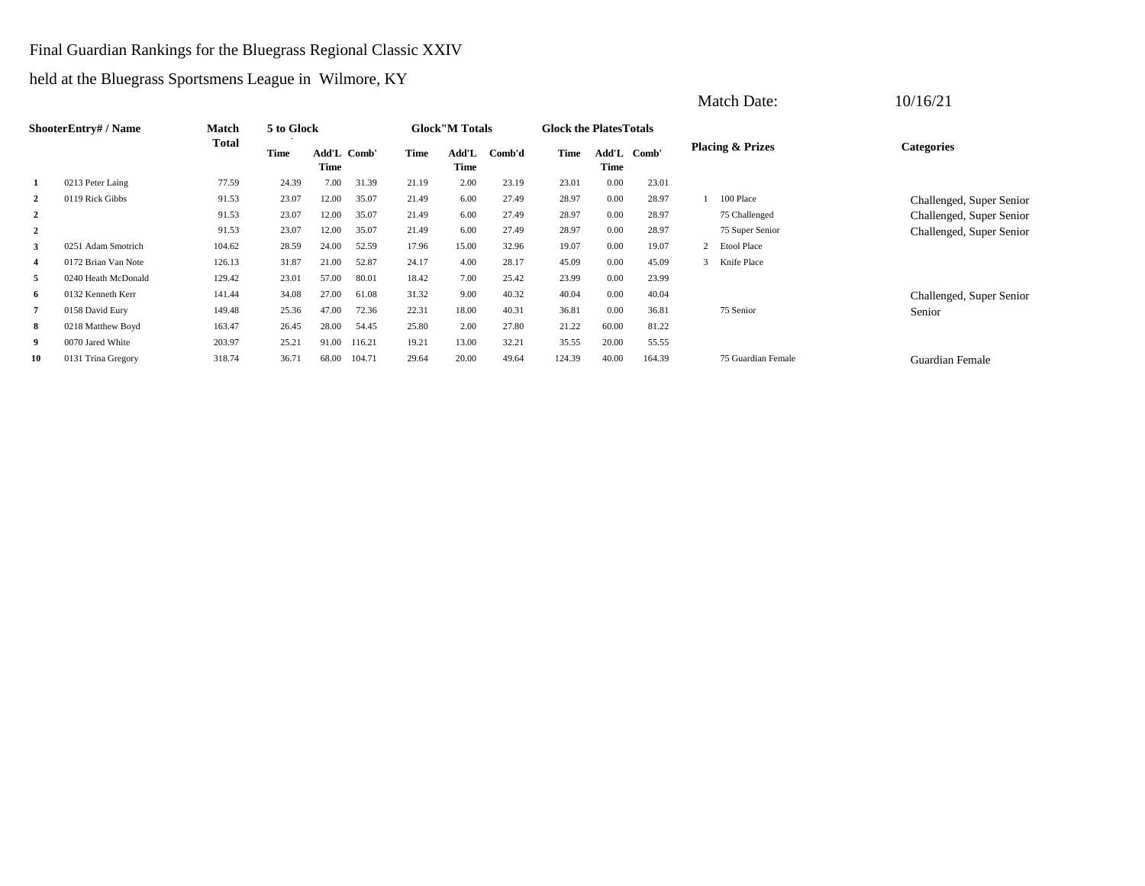#### Final Guardian Rankings for the Bluegrass Regional Classic XXIV

held at the Bluegrass Sportsmens League in Wilmore, KY

|                |                           |              |             |                     |        |       |                        |        |                               |       |             | <b>Match Date:</b>          | 10/16/21                 |
|----------------|---------------------------|--------------|-------------|---------------------|--------|-------|------------------------|--------|-------------------------------|-------|-------------|-----------------------------|--------------------------|
|                | <b>ShooterEntry#/Name</b> | Match        | 5 to Glock  |                     |        |       | <b>Glock</b> "M Totals |        | <b>Glock the PlatesTotals</b> |       |             |                             |                          |
|                |                           | <b>Total</b> | <b>Time</b> | Add'L Comb'<br>Time |        | Time  | Add'L<br>Time          | Comb'd | <b>Time</b>                   | Time  | Add'L Comb' | <b>Placing &amp; Prizes</b> | <b>Categories</b>        |
|                | 0213 Peter Laing          | 77.59        | 24.39       | 7.00                | 31.39  | 21.19 | 2.00                   | 23.19  | 23.01                         | 0.00  | 23.01       |                             |                          |
| $\overline{2}$ | 0119 Rick Gibbs           | 91.53        | 23.07       | 12.00               | 35.07  | 21.49 | 6.00                   | 27.49  | 28.97                         | 0.00  | 28.97       | 100 Place                   | Challenged, Super Senior |
| $\overline{2}$ |                           | 91.53        | 23.07       | 12.00               | 35.07  | 21.49 | 6.00                   | 27.49  | 28.97                         | 0.00  | 28.97       | 75 Challenged               | Challenged, Super Senior |
| $\overline{2}$ |                           | 91.53        | 23.07       | 12.00               | 35.07  | 21.49 | 6.00                   | 27.49  | 28.97                         | 0.00  | 28.97       | 75 Super Senior             | Challenged, Super Senior |
| 3              | 0251 Adam Smotrich        | 104.62       | 28.59       | 24.00               | 52.59  | 17.96 | 15.00                  | 32.96  | 19.07                         | 0.00  | 19.07       | 2 Etool Place               |                          |
| 4              | 0172 Brian Van Note       | 126.13       | 31.87       | 21.00               | 52.87  | 24.17 | 4.00                   | 28.17  | 45.09                         | 0.00  | 45.09       | 3 Knife Place               |                          |
| 5              | 0240 Heath McDonald       | 129.42       | 23.01       | 57.00               | 80.01  | 18.42 | 7.00                   | 25.42  | 23.99                         | 0.00  | 23.99       |                             |                          |
| 6              | 0132 Kenneth Kerr         | 141.44       | 34.08       | 27.00               | 61.08  | 31.32 | 9.00                   | 40.32  | 40.04                         | 0.00  | 40.04       |                             | Challenged, Super Senior |
|                | 0158 David Eury           | 149.48       | 25.36       | 47.00               | 72.36  | 22.31 | 18.00                  | 40.31  | 36.81                         | 0.00  | 36.81       | 75 Senior                   | Senior                   |
| 8              | 0218 Matthew Boyd         | 163.47       | 26.45       | 28.00               | 54.45  | 25.80 | 2.00                   | 27.80  | 21.22                         | 60.00 | 81.22       |                             |                          |
| 9              | 0070 Jared White          | 203.97       | 25.21       | 91.00               | 116.21 | 19.21 | 13.00                  | 32.21  | 35.55                         | 20.00 | 55.55       |                             |                          |
| 10             | 0131 Trina Gregory        | 318.74       | 36.71       | 68.00               | 104.71 | 29.64 | 20.00                  | 49.64  | 124.39                        | 40.00 | 164.39      | 75 Guardian Female          | <b>Guardian Female</b>   |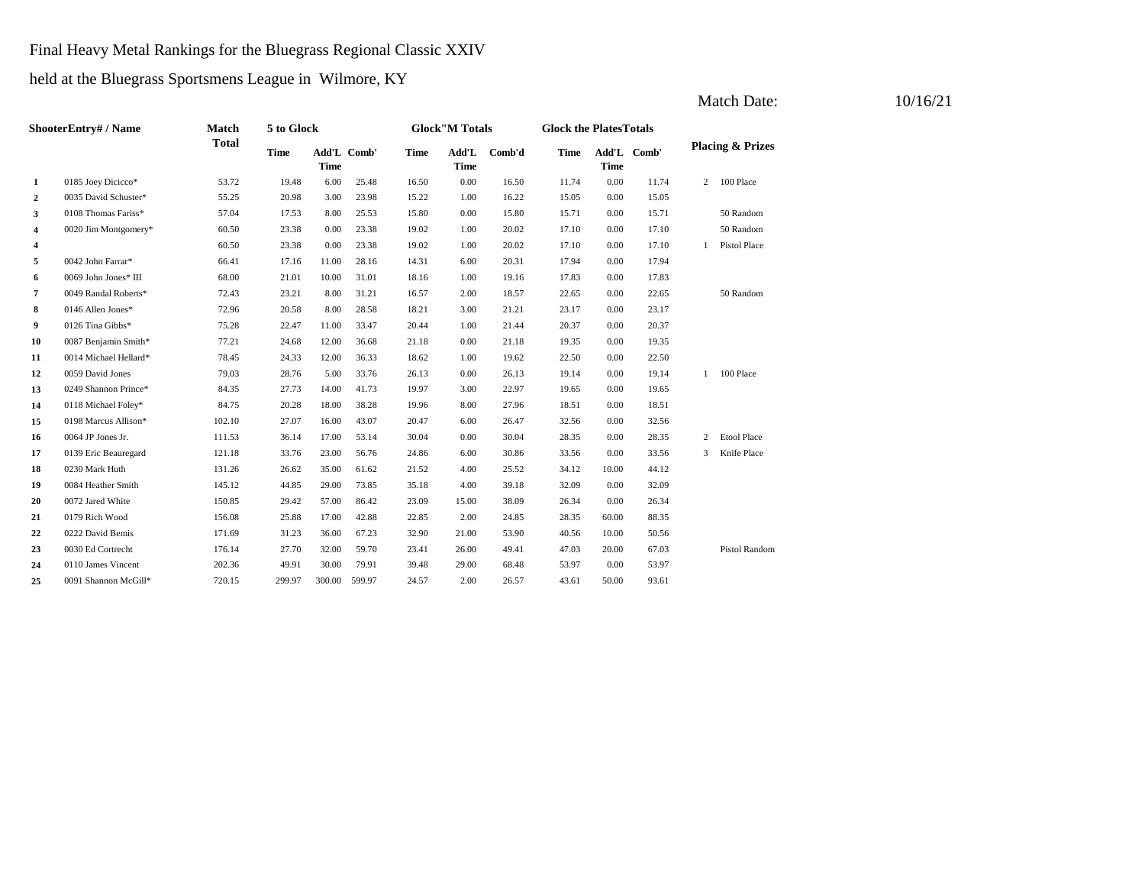#### Final Heavy Metal Rankings for the Bluegrass Regional Classic XXIV

held at the Bluegrass Sportsmens League in Wilmore, KY

|              | ShooterEntry# / Name  | Match        | 5 to Glock  |             |             |             | <b>Glock"M Totals</b> |        | <b>Glock the PlatesTotals</b> |             |             |                |                             |
|--------------|-----------------------|--------------|-------------|-------------|-------------|-------------|-----------------------|--------|-------------------------------|-------------|-------------|----------------|-----------------------------|
|              |                       | <b>Total</b> | <b>Time</b> | <b>Time</b> | Add'L Comb' | <b>Time</b> | Add'L<br><b>Time</b>  | Comb'd | <b>Time</b>                   | <b>Time</b> | Add'L Comb' |                | <b>Placing &amp; Prizes</b> |
| $\mathbf{1}$ | 0185 Joey Dicicco*    | 53.72        | 19.48       | 6.00        | 25.48       | 16.50       | 0.00                  | 16.50  | 11.74                         | 0.00        | 11.74       | $\overline{2}$ | 100 Place                   |
| $\mathbf{2}$ | 0035 David Schuster*  | 55.25        | 20.98       | 3.00        | 23.98       | 15.22       | 1.00                  | 16.22  | 15.05                         | 0.00        | 15.05       |                |                             |
| 3            | 0108 Thomas Fariss*   | 57.04        | 17.53       | 8.00        | 25.53       | 15.80       | 0.00                  | 15.80  | 15.71                         | 0.00        | 15.71       |                | 50 Random                   |
| 4            | 0020 Jim Montgomery*  | 60.50        | 23.38       | 0.00        | 23.38       | 19.02       | 1.00                  | 20.02  | 17.10                         | 0.00        | 17.10       |                | 50 Random                   |
| 4            |                       | 60.50        | 23.38       | 0.00        | 23.38       | 19.02       | 1.00                  | 20.02  | 17.10                         | 0.00        | 17.10       | $\mathbf{1}$   | Pistol Place                |
| 5            | 0042 John Farrar*     | 66.41        | 17.16       | 11.00       | 28.16       | 14.31       | 6.00                  | 20.31  | 17.94                         | 0.00        | 17.94       |                |                             |
| 6            | 0069 John Jones* III  | 68.00        | 21.01       | 10.00       | 31.01       | 18.16       | 1.00                  | 19.16  | 17.83                         | 0.00        | 17.83       |                |                             |
| 7            | 0049 Randal Roberts*  | 72.43        | 23.21       | 8.00        | 31.21       | 16.57       | 2.00                  | 18.57  | 22.65                         | 0.00        | 22.65       |                | 50 Random                   |
| 8            | 0146 Allen Jones*     | 72.96        | 20.58       | 8.00        | 28.58       | 18.21       | 3.00                  | 21.21  | 23.17                         | 0.00        | 23.17       |                |                             |
| 9            | 0126 Tina Gibbs*      | 75.28        | 22.47       | 11.00       | 33.47       | 20.44       | 1.00                  | 21.44  | 20.37                         | 0.00        | 20.37       |                |                             |
| 10           | 0087 Benjamin Smith*  | 77.21        | 24.68       | 12.00       | 36.68       | 21.18       | 0.00                  | 21.18  | 19.35                         | 0.00        | 19.35       |                |                             |
| 11           | 0014 Michael Hellard* | 78.45        | 24.33       | 12.00       | 36.33       | 18.62       | 1.00                  | 19.62  | 22.50                         | 0.00        | 22.50       |                |                             |
| 12           | 0059 David Jones      | 79.03        | 28.76       | 5.00        | 33.76       | 26.13       | 0.00                  | 26.13  | 19.14                         | 0.00        | 19.14       | $\mathbf{1}$   | 100 Place                   |
| 13           | 0249 Shannon Prince*  | 84.35        | 27.73       | 14.00       | 41.73       | 19.97       | 3.00                  | 22.97  | 19.65                         | 0.00        | 19.65       |                |                             |
| 14           | 0118 Michael Foley*   | 84.75        | 20.28       | 18.00       | 38.28       | 19.96       | 8.00                  | 27.96  | 18.51                         | 0.00        | 18.51       |                |                             |
| 15           | 0198 Marcus Allison*  | 102.10       | 27.07       | 16.00       | 43.07       | 20.47       | 6.00                  | 26.47  | 32.56                         | 0.00        | 32.56       |                |                             |
| 16           | 0064 JP Jones Jr.     | 111.53       | 36.14       | 17.00       | 53.14       | 30.04       | 0.00                  | 30.04  | 28.35                         | 0.00        | 28.35       | 2              | <b>Etool Place</b>          |
| 17           | 0139 Eric Beauregard  | 121.18       | 33.76       | 23.00       | 56.76       | 24.86       | 6.00                  | 30.86  | 33.56                         | 0.00        | 33.56       | 3              | Knife Place                 |
| 18           | 0230 Mark Huth        | 131.26       | 26.62       | 35.00       | 61.62       | 21.52       | 4.00                  | 25.52  | 34.12                         | 10.00       | 44.12       |                |                             |
| 19           | 0084 Heather Smith    | 145.12       | 44.85       | 29.00       | 73.85       | 35.18       | 4.00                  | 39.18  | 32.09                         | 0.00        | 32.09       |                |                             |
| 20           | 0072 Jared White      | 150.85       | 29.42       | 57.00       | 86.42       | 23.09       | 15.00                 | 38.09  | 26.34                         | 0.00        | 26.34       |                |                             |
| 21           | 0179 Rich Wood        | 156.08       | 25.88       | 17.00       | 42.88       | 22.85       | 2.00                  | 24.85  | 28.35                         | 60.00       | 88.35       |                |                             |
| 22           | 0222 David Bemis      | 171.69       | 31.23       | 36.00       | 67.23       | 32.90       | 21.00                 | 53.90  | 40.56                         | 10.00       | 50.56       |                |                             |
| 23           | 0030 Ed Cortrecht     | 176.14       | 27.70       | 32.00       | 59.70       | 23.41       | 26.00                 | 49.41  | 47.03                         | 20.00       | 67.03       |                | <b>Pistol Random</b>        |
| 24           | 0110 James Vincent    | 202.36       | 49.91       | 30.00       | 79.91       | 39.48       | 29.00                 | 68.48  | 53.97                         | 0.00        | 53.97       |                |                             |
| 25           | 0091 Shannon McGill*  | 720.15       | 299.97      | 300.00      | 599.97      | 24.57       | 2.00                  | 26.57  | 43.61                         | 50.00       | 93.61       |                |                             |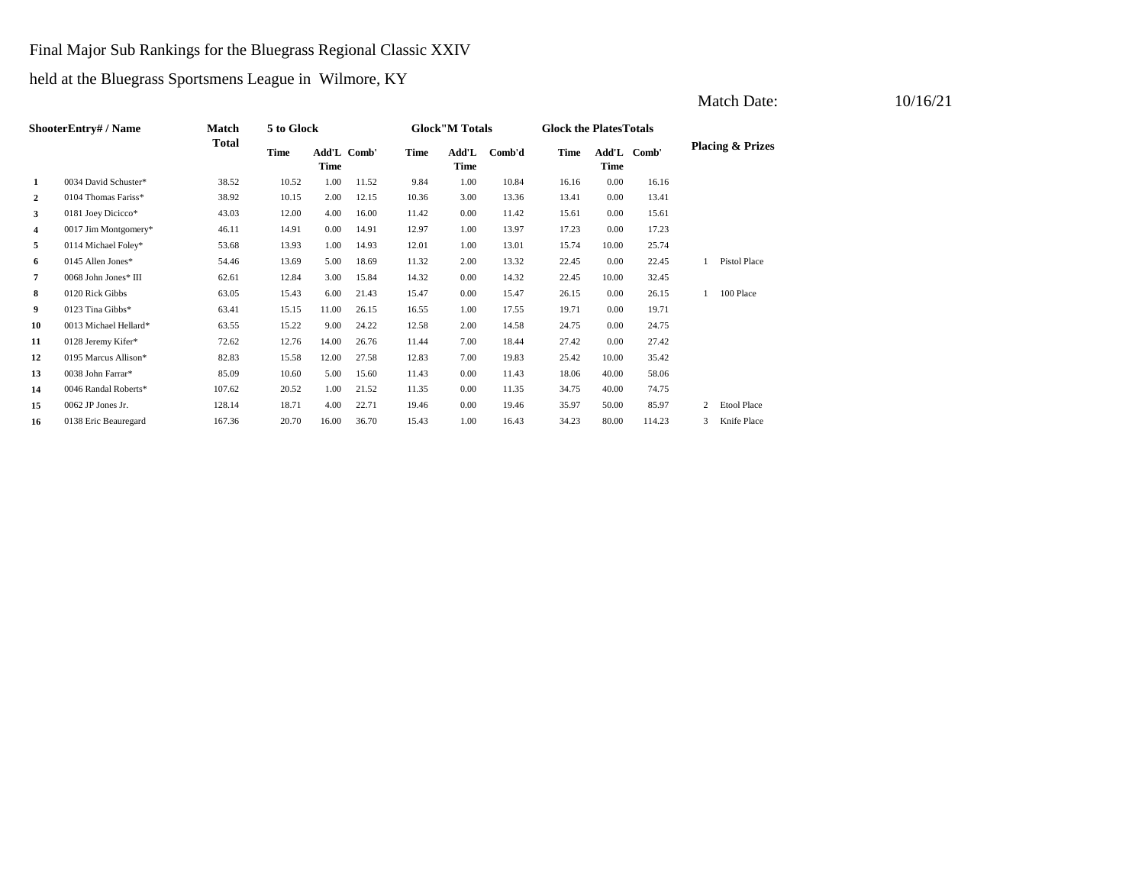Final Major Sub Rankings for the Bluegrass Regional Classic XXIV

held at the Bluegrass Sportsmens League in Wilmore, KY

| <b>ShooterEntry#/Name</b> |                       | Match        | 5 to Glock  |                            |       |       | <b>Glock</b> "M Totals |        |       | <b>Glock the PlatesTotals</b> |             |   |                             |
|---------------------------|-----------------------|--------------|-------------|----------------------------|-------|-------|------------------------|--------|-------|-------------------------------|-------------|---|-----------------------------|
|                           |                       | <b>Total</b> | <b>Time</b> | Add'L Comb'<br><b>Time</b> |       | Time  | Add'L<br>Time          | Comb'd | Time  | Time                          | Add'L Comb' |   | <b>Placing &amp; Prizes</b> |
| 1                         | 0034 David Schuster*  | 38.52        | 10.52       | 1.00                       | 11.52 | 9.84  | 1.00                   | 10.84  | 16.16 | $0.00\,$                      | 16.16       |   |                             |
| 2                         | 0104 Thomas Fariss*   | 38.92        | 10.15       | 2.00                       | 12.15 | 10.36 | 3.00                   | 13.36  | 13.41 | $0.00\,$                      | 13.41       |   |                             |
| 3                         | 0181 Joey Dicicco*    | 43.03        | 12.00       | 4.00                       | 16.00 | 11.42 | 0.00                   | 11.42  | 15.61 | $0.00\,$                      | 15.61       |   |                             |
| 4                         | 0017 Jim Montgomery*  | 46.11        | 14.91       | 0.00                       | 14.91 | 12.97 | 1.00                   | 13.97  | 17.23 | $0.00\,$                      | 17.23       |   |                             |
| 5                         | 0114 Michael Foley*   | 53.68        | 13.93       | 1.00                       | 14.93 | 12.01 | 1.00                   | 13.01  | 15.74 | 10.00                         | 25.74       |   |                             |
| 6                         | 0145 Allen Jones*     | 54.46        | 13.69       | 5.00                       | 18.69 | 11.32 | 2.00                   | 13.32  | 22.45 | $0.00\,$                      | 22.45       |   | <b>Pistol Place</b>         |
| 7                         | 0068 John Jones* III  | 62.61        | 12.84       | 3.00                       | 15.84 | 14.32 | 0.00                   | 14.32  | 22.45 | 10.00                         | 32.45       |   |                             |
| 8                         | 0120 Rick Gibbs       | 63.05        | 15.43       | 6.00                       | 21.43 | 15.47 | 0.00                   | 15.47  | 26.15 | 0.00                          | 26.15       |   | 100 Place                   |
| 9                         | 0123 Tina Gibbs*      | 63.41        | 15.15       | 11.00                      | 26.15 | 16.55 | 1.00                   | 17.55  | 19.71 | $0.00\,$                      | 19.71       |   |                             |
| 10                        | 0013 Michael Hellard* | 63.55        | 15.22       | 9.00                       | 24.22 | 12.58 | 2.00                   | 14.58  | 24.75 | 0.00                          | 24.75       |   |                             |
| 11                        | 0128 Jeremy Kifer*    | 72.62        | 12.76       | 14.00                      | 26.76 | 11.44 | 7.00                   | 18.44  | 27.42 | 0.00                          | 27.42       |   |                             |
| 12                        | 0195 Marcus Allison*  | 82.83        | 15.58       | 12.00                      | 27.58 | 12.83 | 7.00                   | 19.83  | 25.42 | 10.00                         | 35.42       |   |                             |
| 13                        | 0038 John Farrar*     | 85.09        | 10.60       | 5.00                       | 15.60 | 11.43 | 0.00                   | 11.43  | 18.06 | 40.00                         | 58.06       |   |                             |
| 14                        | 0046 Randal Roberts*  | 107.62       | 20.52       | 1.00                       | 21.52 | 11.35 | 0.00                   | 11.35  | 34.75 | 40.00                         | 74.75       |   |                             |
| 15                        | 0062 JP Jones Jr.     | 128.14       | 18.71       | 4.00                       | 22.71 | 19.46 | 0.00                   | 19.46  | 35.97 | 50.00                         | 85.97       | 2 | <b>Etool Place</b>          |
| 16                        | 0138 Eric Beauregard  | 167.36       | 20.70       | 16.00                      | 36.70 | 15.43 | 1.00                   | 16.43  | 34.23 | 80.00                         | 114.23      | 3 | Knife Place                 |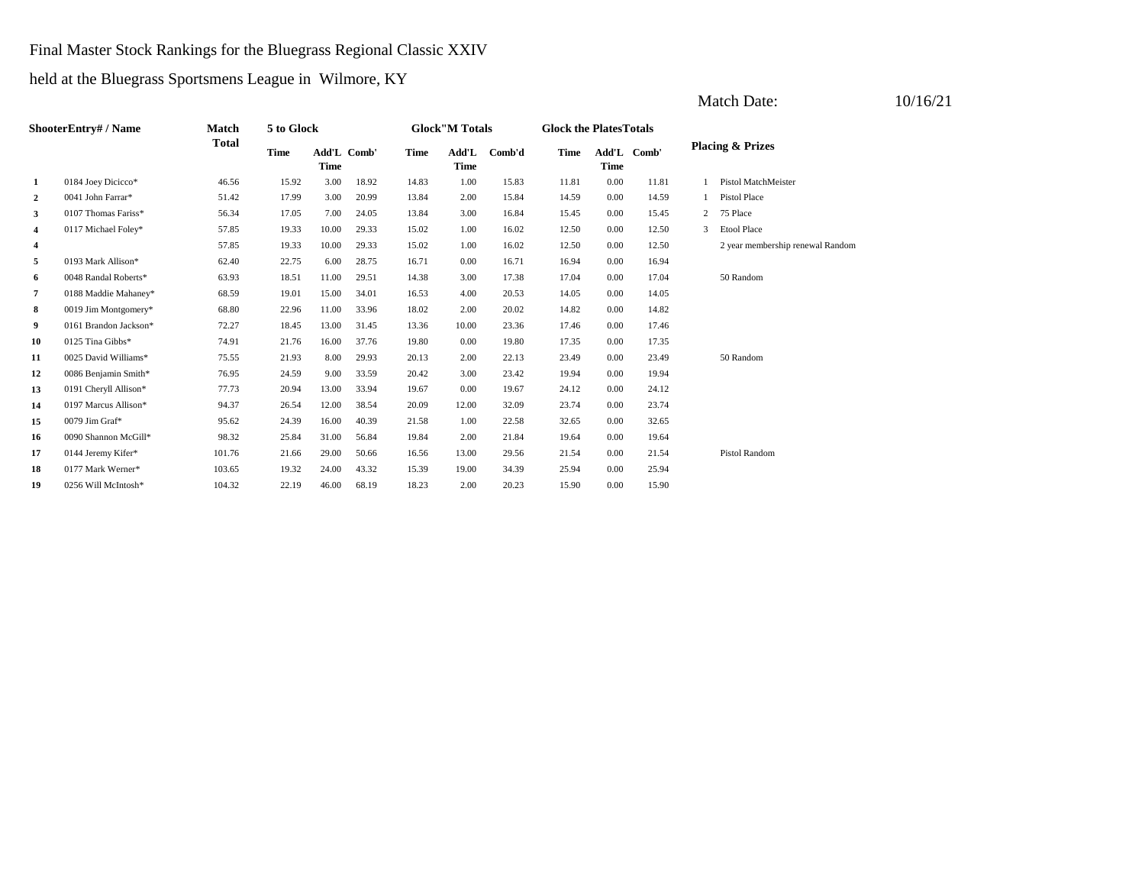#### Final Master Stock Rankings for the Bluegrass Regional Classic XXIV

held at the Bluegrass Sportsmens League in Wilmore, KY

| <b>ShooterEntry#/Name</b> |                       | Match        | 5 to Glock                                |       |       |                                | <b>Glock</b> "M Totals |       |             | <b>Glock the PlatesTotals</b> |                             |   |                                  |  |  |
|---------------------------|-----------------------|--------------|-------------------------------------------|-------|-------|--------------------------------|------------------------|-------|-------------|-------------------------------|-----------------------------|---|----------------------------------|--|--|
|                           |                       | <b>Total</b> | <b>Time</b><br>Add'L Comb'<br><b>Time</b> |       | Time  | Add'L<br>Comb'd<br><b>Time</b> |                        | Time  | <b>Time</b> | Add'L Comb'                   | <b>Placing &amp; Prizes</b> |   |                                  |  |  |
| 1                         | 0184 Joey Dicicco*    | 46.56        | 15.92                                     | 3.00  | 18.92 | 14.83                          | 1.00                   | 15.83 | 11.81       | 0.00                          | 11.81                       |   | Pistol MatchMeister              |  |  |
| $\overline{a}$            | 0041 John Farrar*     | 51.42        | 17.99                                     | 3.00  | 20.99 | 13.84                          | 2.00                   | 15.84 | 14.59       | 0.00                          | 14.59                       |   | <b>Pistol Place</b>              |  |  |
| 3                         | 0107 Thomas Fariss*   | 56.34        | 17.05                                     | 7.00  | 24.05 | 13.84                          | 3.00                   | 16.84 | 15.45       | 0.00                          | 15.45                       | 2 | 75 Place                         |  |  |
| 4                         | 0117 Michael Foley*   | 57.85        | 19.33                                     | 10.00 | 29.33 | 15.02                          | 1.00                   | 16.02 | 12.50       | 0.00                          | 12.50                       | 3 | Etool Place                      |  |  |
| 4                         |                       | 57.85        | 19.33                                     | 10.00 | 29.33 | 15.02                          | 1.00                   | 16.02 | 12.50       | 0.00                          | 12.50                       |   | 2 year membership renewal Random |  |  |
| 5                         | 0193 Mark Allison*    | 62.40        | 22.75                                     | 6.00  | 28.75 | 16.71                          | 0.00                   | 16.71 | 16.94       | 0.00                          | 16.94                       |   |                                  |  |  |
| 6                         | 0048 Randal Roberts*  | 63.93        | 18.51                                     | 11.00 | 29.51 | 14.38                          | 3.00                   | 17.38 | 17.04       | 0.00                          | 17.04                       |   | 50 Random                        |  |  |
| 7                         | 0188 Maddie Mahaney*  | 68.59        | 19.01                                     | 15.00 | 34.01 | 16.53                          | 4.00                   | 20.53 | 14.05       | 0.00                          | 14.05                       |   |                                  |  |  |
| 8                         | 0019 Jim Montgomery*  | 68.80        | 22.96                                     | 11.00 | 33.96 | 18.02                          | 2.00                   | 20.02 | 14.82       | 0.00                          | 14.82                       |   |                                  |  |  |
| 9                         | 0161 Brandon Jackson* | 72.27        | 18.45                                     | 13.00 | 31.45 | 13.36                          | 10.00                  | 23.36 | 17.46       | 0.00                          | 17.46                       |   |                                  |  |  |
| 10                        | 0125 Tina Gibbs*      | 74.91        | 21.76                                     | 16.00 | 37.76 | 19.80                          | 0.00                   | 19.80 | 17.35       | 0.00                          | 17.35                       |   |                                  |  |  |
| 11                        | 0025 David Williams*  | 75.55        | 21.93                                     | 8.00  | 29.93 | 20.13                          | 2.00                   | 22.13 | 23.49       | 0.00                          | 23.49                       |   | 50 Random                        |  |  |
| 12                        | 0086 Benjamin Smith*  | 76.95        | 24.59                                     | 9.00  | 33.59 | 20.42                          | 3.00                   | 23.42 | 19.94       | 0.00                          | 19.94                       |   |                                  |  |  |
| 13                        | 0191 Cheryll Allison* | 77.73        | 20.94                                     | 13.00 | 33.94 | 19.67                          | 0.00                   | 19.67 | 24.12       | 0.00                          | 24.12                       |   |                                  |  |  |
| 14                        | 0197 Marcus Allison*  | 94.37        | 26.54                                     | 12.00 | 38.54 | 20.09                          | 12.00                  | 32.09 | 23.74       | 0.00                          | 23.74                       |   |                                  |  |  |
| 15                        | 0079 Jim Graf*        | 95.62        | 24.39                                     | 16.00 | 40.39 | 21.58                          | 1.00                   | 22.58 | 32.65       | 0.00                          | 32.65                       |   |                                  |  |  |
| 16                        | 0090 Shannon McGill*  | 98.32        | 25.84                                     | 31.00 | 56.84 | 19.84                          | 2.00                   | 21.84 | 19.64       | 0.00                          | 19.64                       |   |                                  |  |  |
| 17                        | 0144 Jeremy Kifer*    | 101.76       | 21.66                                     | 29.00 | 50.66 | 16.56                          | 13.00                  | 29.56 | 21.54       | 0.00                          | 21.54                       |   | <b>Pistol Random</b>             |  |  |
| 18                        | 0177 Mark Werner*     | 103.65       | 19.32                                     | 24.00 | 43.32 | 15.39                          | 19.00                  | 34.39 | 25.94       | 0.00                          | 25.94                       |   |                                  |  |  |
| 19                        | 0256 Will McIntosh*   | 104.32       | 22.19                                     | 46.00 | 68.19 | 18.23                          | 2.00                   | 20.23 | 15.90       | 0.00                          | 15.90                       |   |                                  |  |  |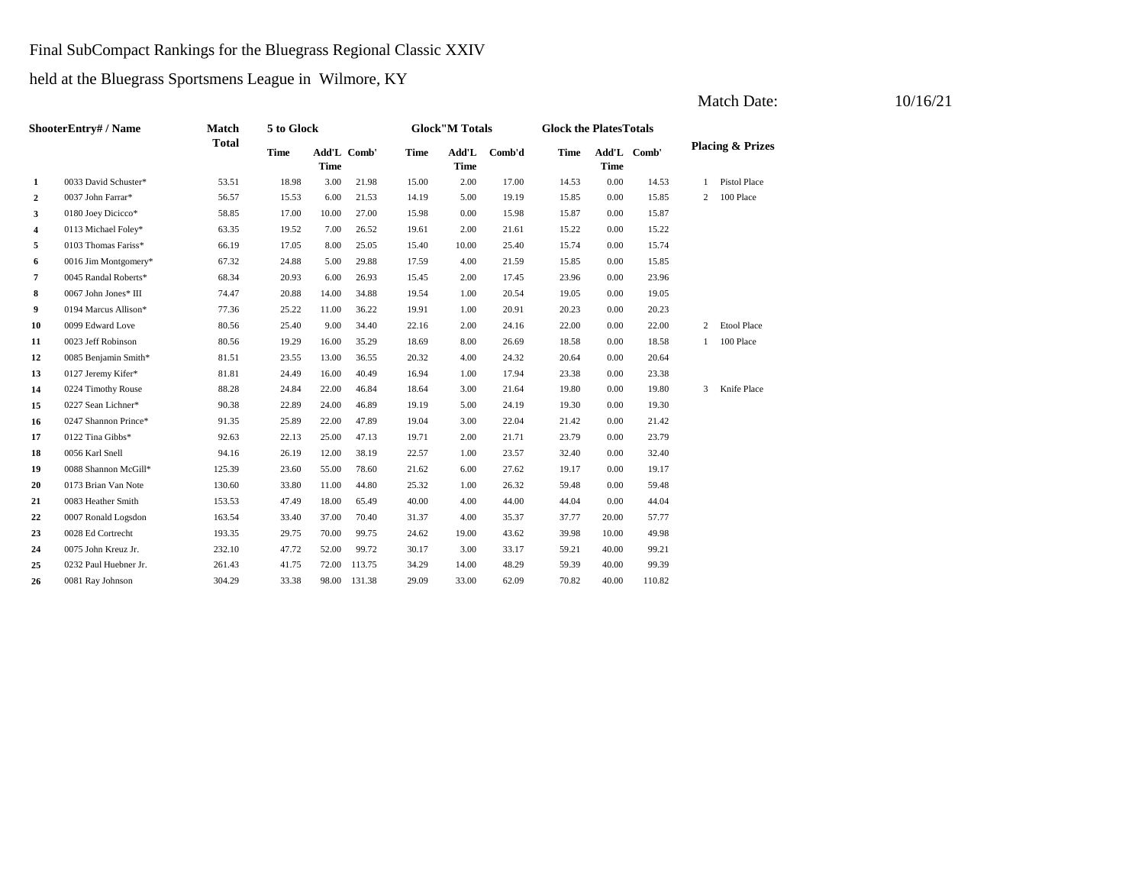# Final SubCompact Rankings for the Bluegrass Regional Classic XXIV

held at the Bluegrass Sportsmens League in Wilmore, KY

| ShooterEntry# / Name |                        | Match        | 5 to Glock  |             |             | <b>Glock"M Totals</b> |                      |        | <b>Glock the PlatesTotals</b> |             |             |   |                             |
|----------------------|------------------------|--------------|-------------|-------------|-------------|-----------------------|----------------------|--------|-------------------------------|-------------|-------------|---|-----------------------------|
|                      |                        | <b>Total</b> | <b>Time</b> | <b>Time</b> | Add'L Comb' | <b>Time</b>           | Add'L<br><b>Time</b> | Comb'd | <b>Time</b>                   | <b>Time</b> | Add'L Comb' |   | <b>Placing &amp; Prizes</b> |
| $\mathbf{1}$         | 0033 David Schuster*   | 53.51        | 18.98       | 3.00        | 21.98       | 15.00                 | 2.00                 | 17.00  | 14.53                         | 0.00        | 14.53       | 1 | <b>Pistol Place</b>         |
| $\overline{a}$       | 0037 John Farrar*      | 56.57        | 15.53       | 6.00        | 21.53       | 14.19                 | 5.00                 | 19.19  | 15.85                         | 0.00        | 15.85       | 2 | 100 Place                   |
| 3                    | 0180 Joey Dicicco*     | 58.85        | 17.00       | 10.00       | 27.00       | 15.98                 | 0.00                 | 15.98  | 15.87                         | 0.00        | 15.87       |   |                             |
| 4                    | 0113 Michael Foley*    | 63.35        | 19.52       | 7.00        | 26.52       | 19.61                 | 2.00                 | 21.61  | 15.22                         | 0.00        | 15.22       |   |                             |
| 5                    | 0103 Thomas Fariss*    | 66.19        | 17.05       | 8.00        | 25.05       | 15.40                 | 10.00                | 25.40  | 15.74                         | 0.00        | 15.74       |   |                             |
| 6                    | 0016 Jim Montgomery*   | 67.32        | 24.88       | 5.00        | 29.88       | 17.59                 | 4.00                 | 21.59  | 15.85                         | 0.00        | 15.85       |   |                             |
| $\overline{7}$       | 0045 Randal Roberts*   | 68.34        | 20.93       | 6.00        | 26.93       | 15.45                 | 2.00                 | 17.45  | 23.96                         | 0.00        | 23.96       |   |                             |
| 8                    | $0067$ John Jones* III | 74.47        | 20.88       | 14.00       | 34.88       | 19.54                 | 1.00                 | 20.54  | 19.05                         | 0.00        | 19.05       |   |                             |
| 9                    | 0194 Marcus Allison*   | 77.36        | 25.22       | 11.00       | 36.22       | 19.91                 | 1.00                 | 20.91  | 20.23                         | 0.00        | 20.23       |   |                             |
| 10                   | 0099 Edward Love       | 80.56        | 25.40       | 9.00        | 34.40       | 22.16                 | 2.00                 | 24.16  | 22.00                         | 0.00        | 22.00       | 2 | <b>Etool Place</b>          |
| 11                   | 0023 Jeff Robinson     | 80.56        | 19.29       | 16.00       | 35.29       | 18.69                 | 8.00                 | 26.69  | 18.58                         | 0.00        | 18.58       | 1 | 100 Place                   |
| 12                   | 0085 Benjamin Smith*   | 81.51        | 23.55       | 13.00       | 36.55       | 20.32                 | 4.00                 | 24.32  | 20.64                         | 0.00        | 20.64       |   |                             |
| 13                   | 0127 Jeremy Kifer*     | 81.81        | 24.49       | 16.00       | 40.49       | 16.94                 | 1.00                 | 17.94  | 23.38                         | 0.00        | 23.38       |   |                             |
| 14                   | 0224 Timothy Rouse     | 88.28        | 24.84       | 22.00       | 46.84       | 18.64                 | 3.00                 | 21.64  | 19.80                         | 0.00        | 19.80       | 3 | Knife Place                 |
| 15                   | 0227 Sean Lichner*     | 90.38        | 22.89       | 24.00       | 46.89       | 19.19                 | 5.00                 | 24.19  | 19.30                         | 0.00        | 19.30       |   |                             |
| 16                   | 0247 Shannon Prince*   | 91.35        | 25.89       | 22.00       | 47.89       | 19.04                 | 3.00                 | 22.04  | 21.42                         | 0.00        | 21.42       |   |                             |
| 17                   | 0122 Tina Gibbs*       | 92.63        | 22.13       | 25.00       | 47.13       | 19.71                 | 2.00                 | 21.71  | 23.79                         | 0.00        | 23.79       |   |                             |
| 18                   | 0056 Karl Snell        | 94.16        | 26.19       | 12.00       | 38.19       | 22.57                 | 1.00                 | 23.57  | 32.40                         | 0.00        | 32.40       |   |                             |
| 19                   | 0088 Shannon McGill*   | 125.39       | 23.60       | 55.00       | 78.60       | 21.62                 | 6.00                 | 27.62  | 19.17                         | 0.00        | 19.17       |   |                             |
| 20                   | 0173 Brian Van Note    | 130.60       | 33.80       | 11.00       | 44.80       | 25.32                 | 1.00                 | 26.32  | 59.48                         | 0.00        | 59.48       |   |                             |
| 21                   | 0083 Heather Smith     | 153.53       | 47.49       | 18.00       | 65.49       | 40.00                 | 4.00                 | 44.00  | 44.04                         | 0.00        | 44.04       |   |                             |
| 22                   | 0007 Ronald Logsdon    | 163.54       | 33.40       | 37.00       | 70.40       | 31.37                 | 4.00                 | 35.37  | 37.77                         | 20.00       | 57.77       |   |                             |
| 23                   | 0028 Ed Cortrecht      | 193.35       | 29.75       | 70.00       | 99.75       | 24.62                 | 19.00                | 43.62  | 39.98                         | 10.00       | 49.98       |   |                             |
| 24                   | 0075 John Kreuz Jr.    | 232.10       | 47.72       | 52.00       | 99.72       | 30.17                 | 3.00                 | 33.17  | 59.21                         | 40.00       | 99.21       |   |                             |
| 25                   | 0232 Paul Huebner Jr.  | 261.43       | 41.75       | 72.00       | 113.75      | 34.29                 | 14.00                | 48.29  | 59.39                         | 40.00       | 99.39       |   |                             |
| 26                   | 0081 Ray Johnson       | 304.29       | 33.38       | 98.00       | 131.38      | 29.09                 | 33.00                | 62.09  | 70.82                         | 40.00       | 110.82      |   |                             |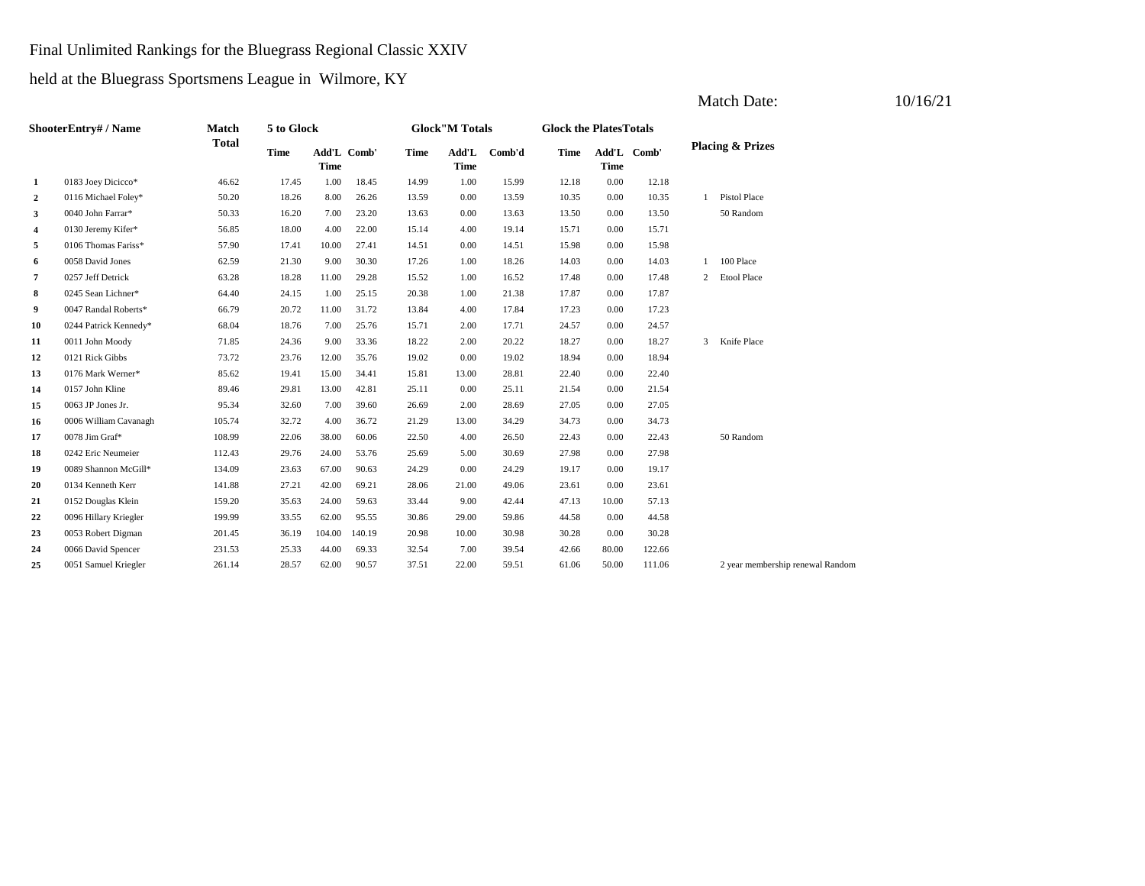#### Final Unlimited Rankings for the Bluegrass Regional Classic XXIV

held at the Bluegrass Sportsmens League in Wilmore, KY

| ShooterEntry# / Name |                       | Match        | 5 to Glock  |             |             | <b>Glock</b> "M Totals |                      |        | <b>Glock the Plates Totals</b> |             |             |                             |                                  |  |
|----------------------|-----------------------|--------------|-------------|-------------|-------------|------------------------|----------------------|--------|--------------------------------|-------------|-------------|-----------------------------|----------------------------------|--|
|                      |                       | <b>Total</b> | <b>Time</b> | <b>Time</b> | Add'L Comb' | Time                   | Add'L<br><b>Time</b> | Comb'd | Time                           | <b>Time</b> | Add'L Comb' | <b>Placing &amp; Prizes</b> |                                  |  |
| 1                    | 0183 Joey Dicicco*    | 46.62        | 17.45       | 1.00        | 18.45       | 14.99                  | 1.00                 | 15.99  | 12.18                          | 0.00        | 12.18       |                             |                                  |  |
| $\overline{2}$       | 0116 Michael Foley*   | 50.20        | 18.26       | 8.00        | 26.26       | 13.59                  | 0.00                 | 13.59  | 10.35                          | 0.00        | 10.35       | $\mathbf{1}$                | Pistol Place                     |  |
| 3                    | 0040 John Farrar*     | 50.33        | 16.20       | 7.00        | 23.20       | 13.63                  | 0.00                 | 13.63  | 13.50                          | 0.00        | 13.50       |                             | 50 Random                        |  |
| 4                    | 0130 Jeremy Kifer*    | 56.85        | 18.00       | 4.00        | 22.00       | 15.14                  | 4.00                 | 19.14  | 15.71                          | 0.00        | 15.71       |                             |                                  |  |
| 5                    | 0106 Thomas Fariss*   | 57.90        | 17.41       | 10.00       | 27.41       | 14.51                  | 0.00                 | 14.51  | 15.98                          | 0.00        | 15.98       |                             |                                  |  |
| 6                    | 0058 David Jones      | 62.59        | 21.30       | 9.00        | 30.30       | 17.26                  | 1.00                 | 18.26  | 14.03                          | 0.00        | 14.03       | 1                           | 100 Place                        |  |
| 7                    | 0257 Jeff Detrick     | 63.28        | 18.28       | 11.00       | 29.28       | 15.52                  | 1.00                 | 16.52  | 17.48                          | 0.00        | 17.48       | $\overline{c}$              | Etool Place                      |  |
| 8                    | 0245 Sean Lichner*    | 64.40        | 24.15       | 1.00        | 25.15       | 20.38                  | 1.00                 | 21.38  | 17.87                          | 0.00        | 17.87       |                             |                                  |  |
| 9                    | 0047 Randal Roberts*  | 66.79        | 20.72       | 11.00       | 31.72       | 13.84                  | 4.00                 | 17.84  | 17.23                          | 0.00        | 17.23       |                             |                                  |  |
| 10                   | 0244 Patrick Kennedy* | 68.04        | 18.76       | 7.00        | 25.76       | 15.71                  | 2.00                 | 17.71  | 24.57                          | 0.00        | 24.57       |                             |                                  |  |
| 11                   | 0011 John Moody       | 71.85        | 24.36       | 9.00        | 33.36       | 18.22                  | 2.00                 | 20.22  | 18.27                          | 0.00        | 18.27       | 3                           | Knife Place                      |  |
| 12                   | 0121 Rick Gibbs       | 73.72        | 23.76       | 12.00       | 35.76       | 19.02                  | 0.00                 | 19.02  | 18.94                          | 0.00        | 18.94       |                             |                                  |  |
| 13                   | 0176 Mark Werner*     | 85.62        | 19.41       | 15.00       | 34.41       | 15.81                  | 13.00                | 28.81  | 22.40                          | 0.00        | 22.40       |                             |                                  |  |
| 14                   | 0157 John Kline       | 89.46        | 29.81       | 13.00       | 42.81       | 25.11                  | 0.00                 | 25.11  | 21.54                          | 0.00        | 21.54       |                             |                                  |  |
| 15                   | 0063 JP Jones Jr.     | 95.34        | 32.60       | 7.00        | 39.60       | 26.69                  | 2.00                 | 28.69  | 27.05                          | 0.00        | 27.05       |                             |                                  |  |
| 16                   | 0006 William Cavanagh | 105.74       | 32.72       | 4.00        | 36.72       | 21.29                  | 13.00                | 34.29  | 34.73                          | 0.00        | 34.73       |                             |                                  |  |
| 17                   | 0078 Jim Graf*        | 108.99       | 22.06       | 38.00       | 60.06       | 22.50                  | 4.00                 | 26.50  | 22.43                          | 0.00        | 22.43       |                             | 50 Random                        |  |
| 18                   | 0242 Eric Neumeier    | 112.43       | 29.76       | 24.00       | 53.76       | 25.69                  | 5.00                 | 30.69  | 27.98                          | 0.00        | 27.98       |                             |                                  |  |
| 19                   | 0089 Shannon McGill*  | 134.09       | 23.63       | 67.00       | 90.63       | 24.29                  | 0.00                 | 24.29  | 19.17                          | 0.00        | 19.17       |                             |                                  |  |
| 20                   | 0134 Kenneth Kerr     | 141.88       | 27.21       | 42.00       | 69.21       | 28.06                  | 21.00                | 49.06  | 23.61                          | 0.00        | 23.61       |                             |                                  |  |
| 21                   | 0152 Douglas Klein    | 159.20       | 35.63       | 24.00       | 59.63       | 33.44                  | 9.00                 | 42.44  | 47.13                          | 10.00       | 57.13       |                             |                                  |  |
| 22                   | 0096 Hillary Kriegler | 199.99       | 33.55       | 62.00       | 95.55       | 30.86                  | 29.00                | 59.86  | 44.58                          | 0.00        | 44.58       |                             |                                  |  |
| 23                   | 0053 Robert Digman    | 201.45       | 36.19       | 104.00      | 140.19      | 20.98                  | 10.00                | 30.98  | 30.28                          | 0.00        | 30.28       |                             |                                  |  |
| 24                   | 0066 David Spencer    | 231.53       | 25.33       | 44.00       | 69.33       | 32.54                  | 7.00                 | 39.54  | 42.66                          | 80.00       | 122.66      |                             |                                  |  |
| 25                   | 0051 Samuel Kriegler  | 261.14       | 28.57       | 62.00       | 90.57       | 37.51                  | 22.00                | 59.51  | 61.06                          | 50.00       | 111.06      |                             | 2 year membership renewal Random |  |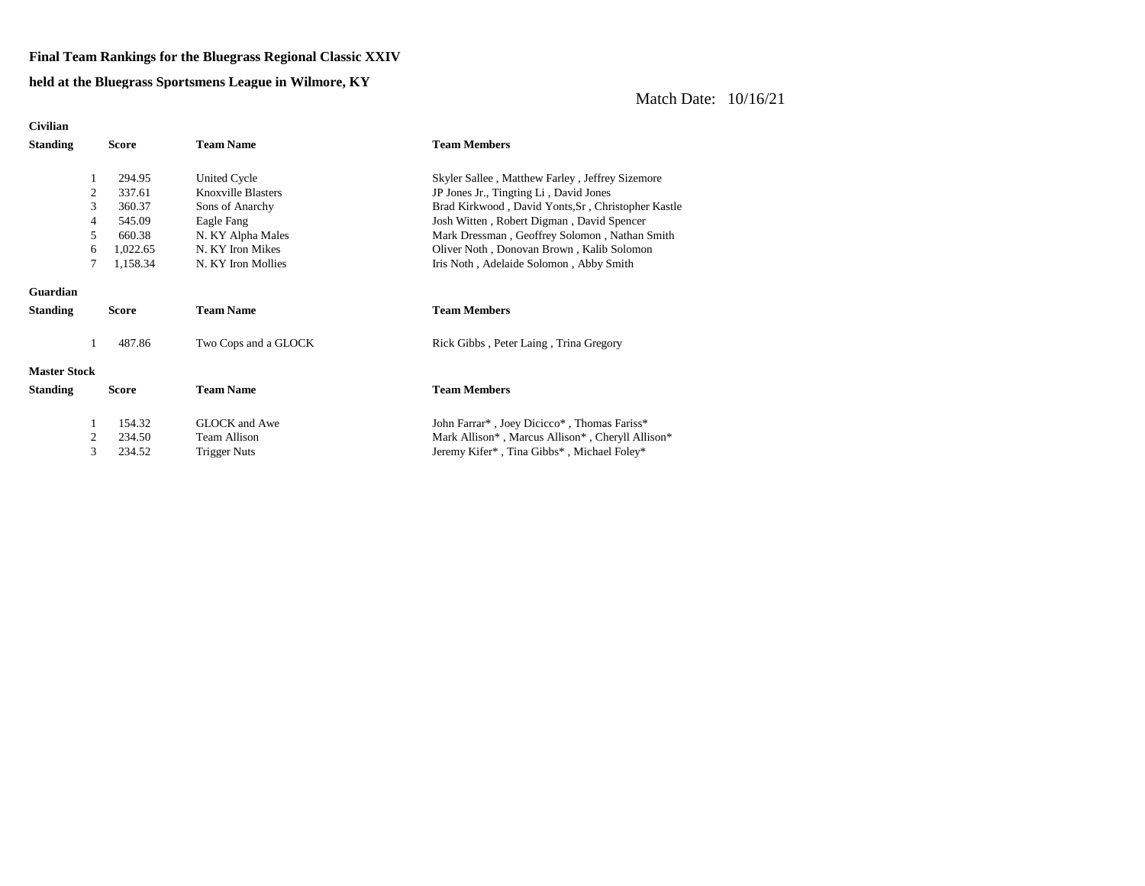#### **Final Team Rankings for the Bluegrass Regional Classic XXIV**

#### **held at the Bluegrass Sportsmens League in Wilmore, KY**

| <b>Civilian</b>     |                         |              |                      |                                                    |
|---------------------|-------------------------|--------------|----------------------|----------------------------------------------------|
| <b>Standing</b>     |                         | Score        | <b>Team Name</b>     | <b>Team Members</b>                                |
|                     |                         |              |                      |                                                    |
|                     |                         | 294.95       | United Cycle         | Skyler Sallee, Matthew Farley, Jeffrey Sizemore    |
|                     | 2                       | 337.61       | Knoxville Blasters   | JP Jones Jr., Tingting Li, David Jones             |
|                     | 3                       | 360.37       | Sons of Anarchy      | Brad Kirkwood, David Yonts, Sr, Christopher Kastle |
|                     | 4                       | 545.09       | Eagle Fang           | Josh Witten, Robert Digman, David Spencer          |
|                     | 5                       | 660.38       | N. KY Alpha Males    | Mark Dressman, Geoffrey Solomon, Nathan Smith      |
|                     | 6                       | 1,022.65     | N. KY Iron Mikes     | Oliver Noth, Donovan Brown, Kalib Solomon          |
|                     | 7                       | 1,158.34     | N. KY Iron Mollies   | Iris Noth, Adelaide Solomon, Abby Smith            |
| Guardian            |                         |              |                      |                                                    |
| <b>Standing</b>     |                         | Score        | <b>Team Name</b>     | <b>Team Members</b>                                |
|                     | 1                       | 487.86       | Two Cops and a GLOCK | Rick Gibbs, Peter Laing, Trina Gregory             |
| <b>Master Stock</b> |                         |              |                      |                                                    |
| <b>Standing</b>     |                         | <b>Score</b> | <b>Team Name</b>     | <b>Team Members</b>                                |
|                     | 1                       | 154.32       | <b>GLOCK</b> and Awe | John Farrar*, Joey Dicicco*, Thomas Fariss*        |
|                     | $\overline{\mathbf{c}}$ | 234.50       | <b>Team Allison</b>  | Mark Allison*, Marcus Allison*, Cheryll Allison*   |
|                     | 3                       | 234.52       | Trigger Nuts         | Jeremy Kifer*, Tina Gibbs*, Michael Foley*         |